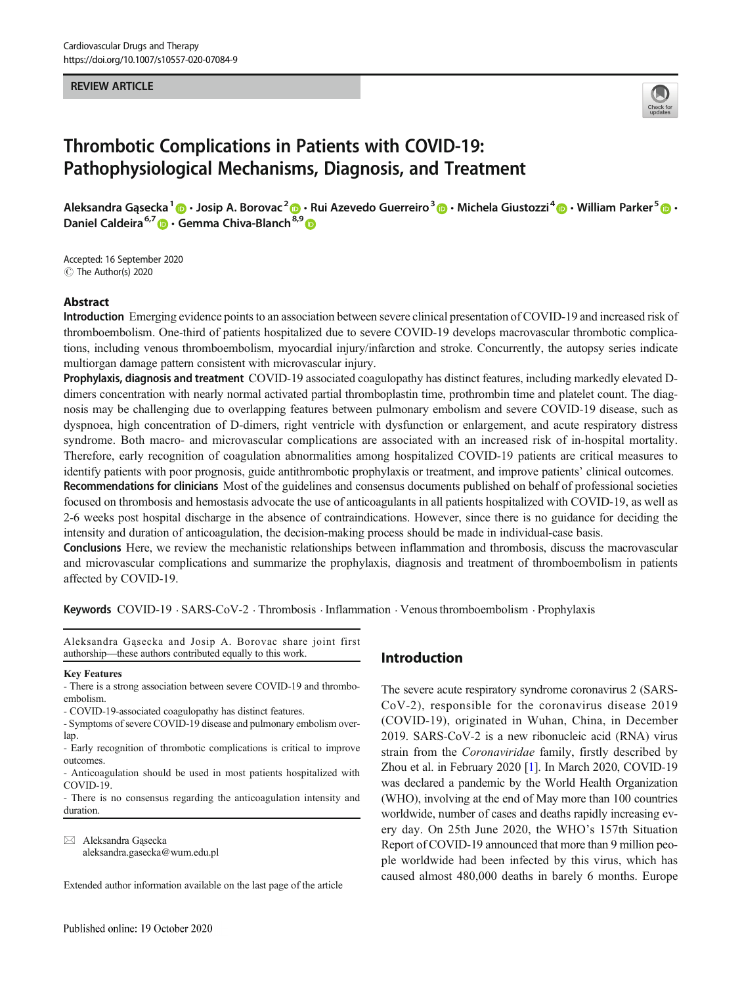#### REVIEW ARTICLE



# Thrombotic Complications in Patients with COVID-19: Pathophysiological Mechanisms, Diagnosis, and Treatment

Aleksandra Gasecka<sup>1</sup> **D** · Josip A. Borovac<sup>2</sup> D · Rui Azevedo Guerreiro<sup>3</sup> D · Michela Giustozzi<sup>4</sup> D · William Parker<sup>5</sup> D · Daniel Caldeira<sup>6,7</sup> D · Gemma Chiva-Blanch<sup>[8,9](https://orcid.org/0000-0002-4878-8146)</sup> D

Accepted: 16 September 2020 C The Author(s) 2020

#### Abstract

Introduction Emerging evidence points to an association between severe clinical presentation of COVID-19 and increased risk of thromboembolism. One-third of patients hospitalized due to severe COVID-19 develops macrovascular thrombotic complications, including venous thromboembolism, myocardial injury/infarction and stroke. Concurrently, the autopsy series indicate multiorgan damage pattern consistent with microvascular injury.

Prophylaxis, diagnosis and treatment COVID-19 associated coagulopathy has distinct features, including markedly elevated Ddimers concentration with nearly normal activated partial thromboplastin time, prothrombin time and platelet count. The diagnosis may be challenging due to overlapping features between pulmonary embolism and severe COVID-19 disease, such as dyspnoea, high concentration of D-dimers, right ventricle with dysfunction or enlargement, and acute respiratory distress syndrome. Both macro- and microvascular complications are associated with an increased risk of in-hospital mortality. Therefore, early recognition of coagulation abnormalities among hospitalized COVID-19 patients are critical measures to identify patients with poor prognosis, guide antithrombotic prophylaxis or treatment, and improve patients' clinical outcomes. Recommendations for clinicians Most of the guidelines and consensus documents published on behalf of professional societies

focused on thrombosis and hemostasis advocate the use of anticoagulants in all patients hospitalized with COVID-19, as well as 2-6 weeks post hospital discharge in the absence of contraindications. However, since there is no guidance for deciding the intensity and duration of anticoagulation, the decision-making process should be made in individual-case basis.

Conclusions Here, we review the mechanistic relationships between inflammation and thrombosis, discuss the macrovascular and microvascular complications and summarize the prophylaxis, diagnosis and treatment of thromboembolism in patients affected by COVID-19.

Keywords COVID-19 . SARS-CoV-2 . Thrombosis . Inflammation . Venous thromboembolism . Prophylaxis

Aleksandra Gąsecka and Josip A. Borovac share joint first authorship—these authors contributed equally to this work.

#### Key Features

- There is a strong association between severe COVID-19 and thromboembolism.

- Symptoms of severe COVID-19 disease and pulmonary embolism overlap.

 $\boxtimes$  Aleksandra Gąsecka [aleksandra.gasecka@wum.edu.pl](mailto:aleksandra.gasecka@wum.edu.pl)

Extended author information available on the last page of the article

## Introduction

The severe acute respiratory syndrome coronavirus 2 (SARS-CoV-2), responsible for the coronavirus disease 2019 (COVID-19), originated in Wuhan, China, in December 2019. SARS-CoV-2 is a new ribonucleic acid (RNA) virus strain from the Coronaviridae family, firstly described by Zhou et al. in February 2020 [\[1\]](#page-10-0). In March 2020, COVID-19 was declared a pandemic by the World Health Organization (WHO), involving at the end of May more than 100 countries worldwide, number of cases and deaths rapidly increasing every day. On 25th June 2020, the WHO's 157th Situation Report of COVID-19 announced that more than 9 million people worldwide had been infected by this virus, which has caused almost 480,000 deaths in barely 6 months. Europe

<sup>-</sup> COVID-19-associated coagulopathy has distinct features.

<sup>-</sup> Early recognition of thrombotic complications is critical to improve outcomes.

<sup>-</sup> Anticoagulation should be used in most patients hospitalized with COVID-19.

<sup>-</sup> There is no consensus regarding the anticoagulation intensity and duration.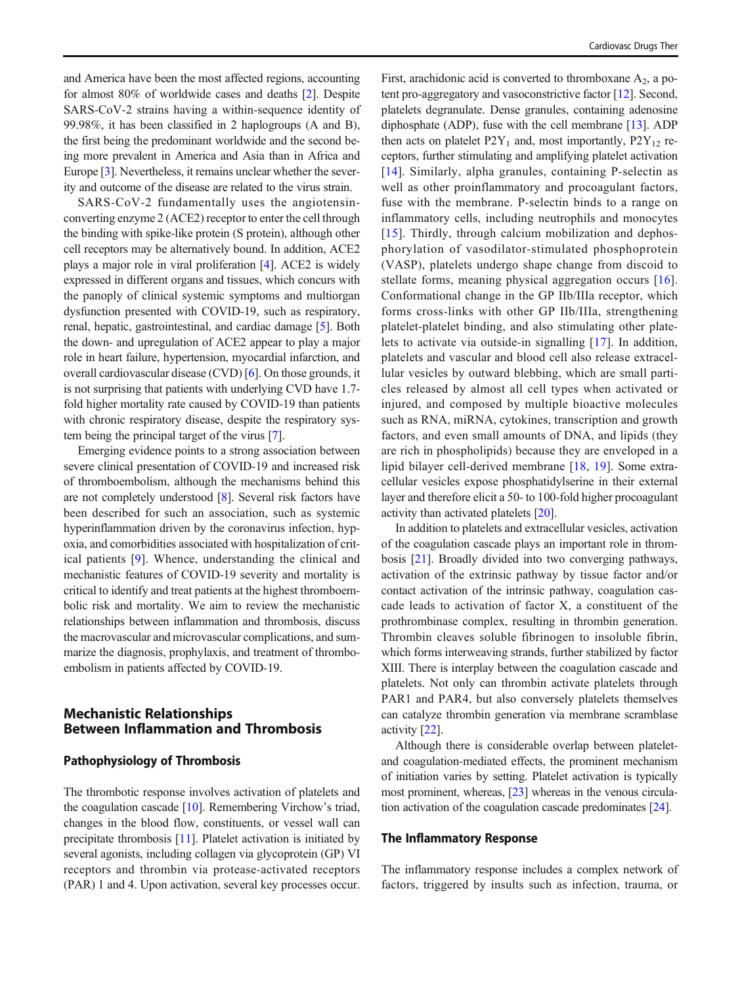and America have been the most affected regions, accounting for almost 80% of worldwide cases and deaths [[2\]](#page-10-0). Despite SARS-CoV-2 strains having a within-sequence identity of 99.98%, it has been classified in 2 haplogroups (A and B), the first being the predominant worldwide and the second being more prevalent in America and Asia than in Africa and Europe [[3\]](#page-10-0). Nevertheless, it remains unclear whether the severity and outcome of the disease are related to the virus strain.

SARS-CoV-2 fundamentally uses the angiotensinconverting enzyme 2 (ACE2) receptor to enter the cell through the binding with spike-like protein (S protein), although other cell receptors may be alternatively bound. In addition, ACE2 plays a major role in viral proliferation [[4\]](#page-10-0). ACE2 is widely expressed in different organs and tissues, which concurs with the panoply of clinical systemic symptoms and multiorgan dysfunction presented with COVID-19, such as respiratory, renal, hepatic, gastrointestinal, and cardiac damage [[5\]](#page-10-0). Both the down- and upregulation of ACE2 appear to play a major role in heart failure, hypertension, myocardial infarction, and overall cardiovascular disease (CVD) [[6](#page-10-0)]. On those grounds, it is not surprising that patients with underlying CVD have 1.7 fold higher mortality rate caused by COVID-19 than patients with chronic respiratory disease, despite the respiratory system being the principal target of the virus [\[7](#page-10-0)].

Emerging evidence points to a strong association between severe clinical presentation of COVID-19 and increased risk of thromboembolism, although the mechanisms behind this are not completely understood [[8](#page-10-0)]. Several risk factors have been described for such an association, such as systemic hyperinflammation driven by the coronavirus infection, hypoxia, and comorbidities associated with hospitalization of critical patients [\[9](#page-10-0)]. Whence, understanding the clinical and mechanistic features of COVID-19 severity and mortality is critical to identify and treat patients at the highest thromboembolic risk and mortality. We aim to review the mechanistic relationships between inflammation and thrombosis, discuss the macrovascular and microvascular complications, and summarize the diagnosis, prophylaxis, and treatment of thromboembolism in patients affected by COVID-19.

# Mechanistic Relationships Between Inflammation and Thrombosis

#### Pathophysiology of Thrombosis

The thrombotic response involves activation of platelets and the coagulation cascade [\[10](#page-10-0)]. Remembering Virchow's triad, changes in the blood flow, constituents, or vessel wall can precipitate thrombosis [[11\]](#page-10-0). Platelet activation is initiated by several agonists, including collagen via glycoprotein (GP) VI receptors and thrombin via protease-activated receptors (PAR) 1 and 4. Upon activation, several key processes occur.

First, arachidonic acid is converted to thromboxane  $A_2$ , a potent pro-aggregatory and vasoconstrictive factor [[12](#page-10-0)]. Second, platelets degranulate. Dense granules, containing adenosine diphosphate (ADP), fuse with the cell membrane [\[13\]](#page-11-0). ADP then acts on platelet  $P2Y_1$  and, most importantly,  $P2Y_{12}$  receptors, further stimulating and amplifying platelet activation [\[14](#page-11-0)]. Similarly, alpha granules, containing P-selectin as well as other proinflammatory and procoagulant factors, fuse with the membrane. P-selectin binds to a range on inflammatory cells, including neutrophils and monocytes  $[15]$ . Thirdly, through calcium mobilization and dephosphorylation of vasodilator-stimulated phosphoprotein (VASP), platelets undergo shape change from discoid to stellate forms, meaning physical aggregation occurs [\[16](#page-11-0)]. Conformational change in the GP IIb/IIIa receptor, which forms cross-links with other GP IIb/IIIa, strengthening platelet-platelet binding, and also stimulating other platelets to activate via outside-in signalling [[17](#page-11-0)]. In addition, platelets and vascular and blood cell also release extracellular vesicles by outward blebbing, which are small particles released by almost all cell types when activated or injured, and composed by multiple bioactive molecules such as RNA, miRNA, cytokines, transcription and growth factors, and even small amounts of DNA, and lipids (they are rich in phospholipids) because they are enveloped in a lipid bilayer cell-derived membrane [[18,](#page-11-0) [19\]](#page-11-0). Some extracellular vesicles expose phosphatidylserine in their external layer and therefore elicit a 50- to 100-fold higher procoagulant activity than activated platelets [\[20\]](#page-11-0).

In addition to platelets and extracellular vesicles, activation of the coagulation cascade plays an important role in thrombosis [\[21\]](#page-11-0). Broadly divided into two converging pathways, activation of the extrinsic pathway by tissue factor and/or contact activation of the intrinsic pathway, coagulation cascade leads to activation of factor X, a constituent of the prothrombinase complex, resulting in thrombin generation. Thrombin cleaves soluble fibrinogen to insoluble fibrin, which forms interweaving strands, further stabilized by factor XIII. There is interplay between the coagulation cascade and platelets. Not only can thrombin activate platelets through PAR1 and PAR4, but also conversely platelets themselves can catalyze thrombin generation via membrane scramblase activity [[22](#page-11-0)].

Although there is considerable overlap between plateletand coagulation-mediated effects, the prominent mechanism of initiation varies by setting. Platelet activation is typically most prominent, whereas, [\[23\]](#page-11-0) whereas in the venous circulation activation of the coagulation cascade predominates [\[24\]](#page-11-0).

#### The Inflammatory Response

The inflammatory response includes a complex network of factors, triggered by insults such as infection, trauma, or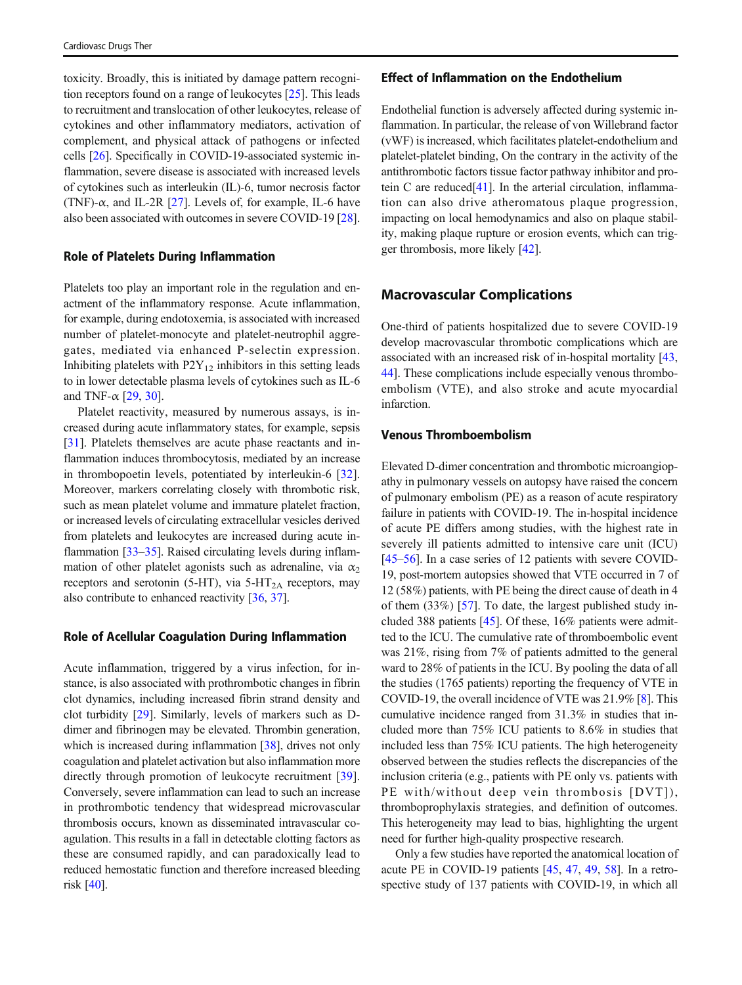toxicity. Broadly, this is initiated by damage pattern recognition receptors found on a range of leukocytes [[25\]](#page-11-0). This leads to recruitment and translocation of other leukocytes, release of cytokines and other inflammatory mediators, activation of complement, and physical attack of pathogens or infected cells [[26](#page-11-0)]. Specifically in COVID-19-associated systemic inflammation, severe disease is associated with increased levels of cytokines such as interleukin (IL)-6, tumor necrosis factor (TNF)- $\alpha$ , and IL-2R [[27](#page-11-0)]. Levels of, for example, IL-6 have also been associated with outcomes in severe COVID-19 [[28\]](#page-11-0).

#### Role of Platelets During Inflammation

Platelets too play an important role in the regulation and enactment of the inflammatory response. Acute inflammation, for example, during endotoxemia, is associated with increased number of platelet-monocyte and platelet-neutrophil aggregates, mediated via enhanced P-selectin expression. Inhibiting platelets with  $P2Y_{12}$  inhibitors in this setting leads to in lower detectable plasma levels of cytokines such as IL-6 and TNF- $\alpha$  [[29](#page-11-0), [30](#page-11-0)].

Platelet reactivity, measured by numerous assays, is increased during acute inflammatory states, for example, sepsis [\[31](#page-11-0)]. Platelets themselves are acute phase reactants and inflammation induces thrombocytosis, mediated by an increase in thrombopoetin levels, potentiated by interleukin-6 [\[32](#page-11-0)]. Moreover, markers correlating closely with thrombotic risk, such as mean platelet volume and immature platelet fraction, or increased levels of circulating extracellular vesicles derived from platelets and leukocytes are increased during acute in-flammation [\[33](#page-11-0)-[35\]](#page-11-0). Raised circulating levels during inflammation of other platelet agonists such as adrenaline, via  $\alpha_2$ receptors and serotonin (5-HT), via  $5$ -HT<sub>2A</sub> receptors, may also contribute to enhanced reactivity [\[36](#page-11-0), [37](#page-11-0)].

#### Role of Acellular Coagulation During Inflammation

Acute inflammation, triggered by a virus infection, for instance, is also associated with prothrombotic changes in fibrin clot dynamics, including increased fibrin strand density and clot turbidity [[29\]](#page-11-0). Similarly, levels of markers such as Ddimer and fibrinogen may be elevated. Thrombin generation, which is increased during inflammation [\[38\]](#page-11-0), drives not only coagulation and platelet activation but also inflammation more directly through promotion of leukocyte recruitment [\[39](#page-11-0)]. Conversely, severe inflammation can lead to such an increase in prothrombotic tendency that widespread microvascular thrombosis occurs, known as disseminated intravascular coagulation. This results in a fall in detectable clotting factors as these are consumed rapidly, and can paradoxically lead to reduced hemostatic function and therefore increased bleeding risk [\[40](#page-11-0)].

#### Effect of Inflammation on the Endothelium

Endothelial function is adversely affected during systemic inflammation. In particular, the release of von Willebrand factor (vWF) is increased, which facilitates platelet-endothelium and platelet-platelet binding, On the contrary in the activity of the antithrombotic factors tissue factor pathway inhibitor and pro-tein C are reduced<sup>[\[41](#page-11-0)]</sup>. In the arterial circulation, inflammation can also drive atheromatous plaque progression, impacting on local hemodynamics and also on plaque stability, making plaque rupture or erosion events, which can trigger thrombosis, more likely [\[42](#page-11-0)].

### Macrovascular Complications

One-third of patients hospitalized due to severe COVID-19 develop macrovascular thrombotic complications which are associated with an increased risk of in-hospital mortality [\[43,](#page-11-0) [44\]](#page-11-0). These complications include especially venous thromboembolism (VTE), and also stroke and acute myocardial infarction.

### Venous Thromboembolism

Elevated D-dimer concentration and thrombotic microangiopathy in pulmonary vessels on autopsy have raised the concern of pulmonary embolism (PE) as a reason of acute respiratory failure in patients with COVID-19. The in-hospital incidence of acute PE differs among studies, with the highest rate in severely ill patients admitted to intensive care unit (ICU) [\[45](#page-11-0)–[56\]](#page-12-0). In a case series of 12 patients with severe COVID-19, post-mortem autopsies showed that VTE occurred in 7 of 12 (58%) patients, with PE being the direct cause of death in 4 of them (33%) [\[57](#page-12-0)]. To date, the largest published study included 388 patients [\[45\]](#page-11-0). Of these, 16% patients were admitted to the ICU. The cumulative rate of thromboembolic event was 21%, rising from 7% of patients admitted to the general ward to 28% of patients in the ICU. By pooling the data of all the studies (1765 patients) reporting the frequency of VTE in COVID-19, the overall incidence of VTE was 21.9% [\[8](#page-10-0)]. This cumulative incidence ranged from 31.3% in studies that included more than 75% ICU patients to 8.6% in studies that included less than 75% ICU patients. The high heterogeneity observed between the studies reflects the discrepancies of the inclusion criteria (e.g., patients with PE only vs. patients with PE with/without deep vein thrombosis [DVT]), thromboprophylaxis strategies, and definition of outcomes. This heterogeneity may lead to bias, highlighting the urgent need for further high-quality prospective research.

Only a few studies have reported the anatomical location of acute PE in COVID-19 patients [[45,](#page-11-0) [47](#page-12-0), [49,](#page-12-0) [58](#page-12-0)]. In a retrospective study of 137 patients with COVID-19, in which all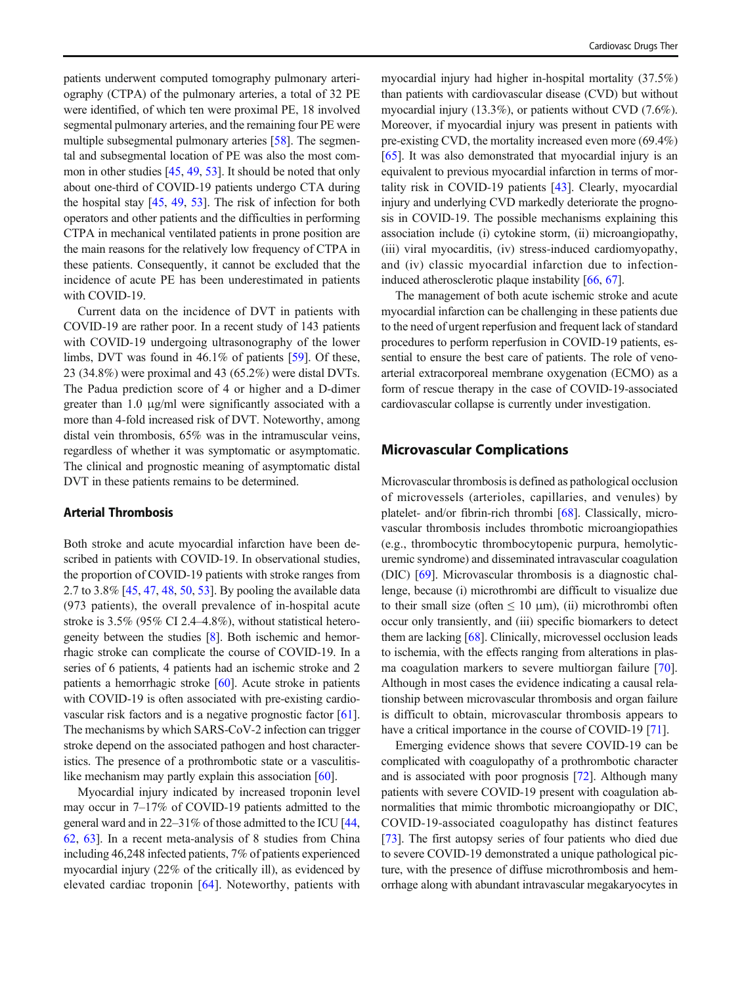patients underwent computed tomography pulmonary arteriography (CTPA) of the pulmonary arteries, a total of 32 PE were identified, of which ten were proximal PE, 18 involved segmental pulmonary arteries, and the remaining four PE were multiple subsegmental pulmonary arteries [\[58](#page-12-0)]. The segmental and subsegmental location of PE was also the most common in other studies [\[45](#page-11-0), [49,](#page-12-0) [53\]](#page-12-0). It should be noted that only about one-third of COVID-19 patients undergo CTA during the hospital stay [\[45,](#page-11-0) [49,](#page-12-0) [53](#page-12-0)]. The risk of infection for both operators and other patients and the difficulties in performing CTPA in mechanical ventilated patients in prone position are the main reasons for the relatively low frequency of CTPA in these patients. Consequently, it cannot be excluded that the incidence of acute PE has been underestimated in patients with COVID-19.

Current data on the incidence of DVT in patients with COVID-19 are rather poor. In a recent study of 143 patients with COVID-19 undergoing ultrasonography of the lower limbs, DVT was found in 46.1% of patients [\[59](#page-12-0)]. Of these, 23 (34.8%) were proximal and 43 (65.2%) were distal DVTs. The Padua prediction score of 4 or higher and a D-dimer greater than 1.0 μg/ml were significantly associated with a more than 4-fold increased risk of DVT. Noteworthy, among distal vein thrombosis, 65% was in the intramuscular veins, regardless of whether it was symptomatic or asymptomatic. The clinical and prognostic meaning of asymptomatic distal DVT in these patients remains to be determined.

### Arterial Thrombosis

Both stroke and acute myocardial infarction have been described in patients with COVID-19. In observational studies, the proportion of COVID-19 patients with stroke ranges from 2.7 to 3.8% [\[45,](#page-11-0) [47](#page-12-0), [48,](#page-12-0) [50](#page-12-0), [53\]](#page-12-0). By pooling the available data (973 patients), the overall prevalence of in-hospital acute stroke is 3.5% (95% CI 2.4–4.8%), without statistical heterogeneity between the studies [\[8](#page-10-0)]. Both ischemic and hemorrhagic stroke can complicate the course of COVID-19. In a series of 6 patients, 4 patients had an ischemic stroke and 2 patients a hemorrhagic stroke [\[60\]](#page-12-0). Acute stroke in patients with COVID-19 is often associated with pre-existing cardiovascular risk factors and is a negative prognostic factor [[61\]](#page-12-0). The mechanisms by which SARS-CoV-2 infection can trigger stroke depend on the associated pathogen and host characteristics. The presence of a prothrombotic state or a vasculitis-like mechanism may partly explain this association [[60](#page-12-0)].

Myocardial injury indicated by increased troponin level may occur in 7–17% of COVID-19 patients admitted to the general ward and in 22–31% of those admitted to the ICU [[44,](#page-11-0) [62,](#page-12-0) [63](#page-12-0)]. In a recent meta-analysis of 8 studies from China including 46,248 infected patients, 7% of patients experienced myocardial injury (22% of the critically ill), as evidenced by elevated cardiac troponin [\[64](#page-12-0)]. Noteworthy, patients with myocardial injury had higher in-hospital mortality (37.5%) than patients with cardiovascular disease (CVD) but without myocardial injury (13.3%), or patients without CVD (7.6%). Moreover, if myocardial injury was present in patients with pre-existing CVD, the mortality increased even more (69.4%) [\[65](#page-12-0)]. It was also demonstrated that myocardial injury is an equivalent to previous myocardial infarction in terms of mortality risk in COVID-19 patients [[43](#page-11-0)]. Clearly, myocardial injury and underlying CVD markedly deteriorate the prognosis in COVID-19. The possible mechanisms explaining this association include (i) cytokine storm, (ii) microangiopathy, (iii) viral myocarditis, (iv) stress-induced cardiomyopathy, and (iv) classic myocardial infarction due to infectioninduced atherosclerotic plaque instability [\[66](#page-12-0), [67\]](#page-12-0).

The management of both acute ischemic stroke and acute myocardial infarction can be challenging in these patients due to the need of urgent reperfusion and frequent lack of standard procedures to perform reperfusion in COVID-19 patients, essential to ensure the best care of patients. The role of venoarterial extracorporeal membrane oxygenation (ECMO) as a form of rescue therapy in the case of COVID-19-associated cardiovascular collapse is currently under investigation.

### Microvascular Complications

Microvascular thrombosis is defined as pathological occlusion of microvessels (arterioles, capillaries, and venules) by platelet- and/or fibrin-rich thrombi [[68\]](#page-12-0). Classically, microvascular thrombosis includes thrombotic microangiopathies (e.g., thrombocytic thrombocytopenic purpura, hemolyticuremic syndrome) and disseminated intravascular coagulation (DIC) [\[69](#page-12-0)]. Microvascular thrombosis is a diagnostic challenge, because (i) microthrombi are difficult to visualize due to their small size (often  $\leq 10 \mu m$ ), (ii) microthrombi often occur only transiently, and (iii) specific biomarkers to detect them are lacking [\[68\]](#page-12-0). Clinically, microvessel occlusion leads to ischemia, with the effects ranging from alterations in plasma coagulation markers to severe multiorgan failure [\[70\]](#page-12-0). Although in most cases the evidence indicating a causal relationship between microvascular thrombosis and organ failure is difficult to obtain, microvascular thrombosis appears to have a critical importance in the course of COVID-19 [\[71\]](#page-12-0).

Emerging evidence shows that severe COVID-19 can be complicated with coagulopathy of a prothrombotic character and is associated with poor prognosis [\[72](#page-12-0)]. Although many patients with severe COVID-19 present with coagulation abnormalities that mimic thrombotic microangiopathy or DIC, COVID-19-associated coagulopathy has distinct features [\[73](#page-12-0)]. The first autopsy series of four patients who died due to severe COVID-19 demonstrated a unique pathological picture, with the presence of diffuse microthrombosis and hemorrhage along with abundant intravascular megakaryocytes in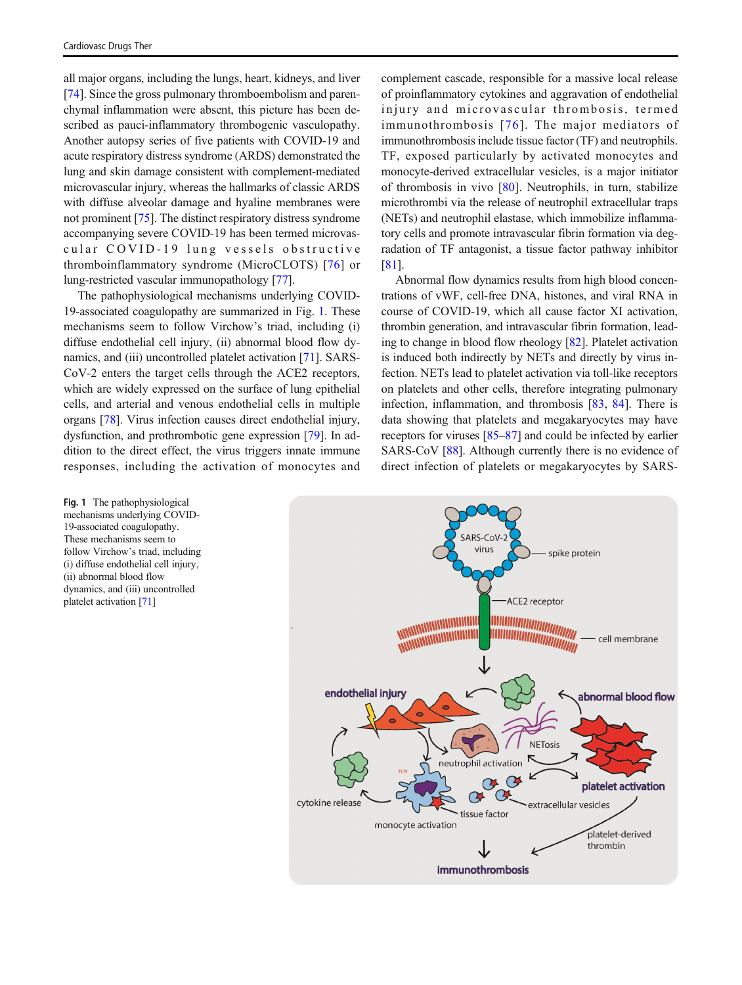<span id="page-4-0"></span>all major organs, including the lungs, heart, kidneys, and liver [\[74\]](#page-12-0). Since the gross pulmonary thromboembolism and parenchymal inflammation were absent, this picture has been described as pauci-inflammatory thrombogenic vasculopathy. Another autopsy series of five patients with COVID-19 and acute respiratory distress syndrome (ARDS) demonstrated the lung and skin damage consistent with complement-mediated microvascular injury, whereas the hallmarks of classic ARDS with diffuse alveolar damage and hyaline membranes were not prominent [[75\]](#page-12-0). The distinct respiratory distress syndrome accompanying severe COVID-19 has been termed microvascular COVID-19 lung vessels obstructive thromboinflammatory syndrome (MicroCLOTS) [[76](#page-13-0)] or lung-restricted vascular immunopathology [\[77](#page-13-0)].

The pathophysiological mechanisms underlying COVID-19-associated coagulopathy are summarized in Fig. 1. These mechanisms seem to follow Virchow's triad, including (i) diffuse endothelial cell injury, (ii) abnormal blood flow dy-namics, and (iii) uncontrolled platelet activation [\[71](#page-12-0)]. SARS-CoV-2 enters the target cells through the ACE2 receptors, which are widely expressed on the surface of lung epithelial cells, and arterial and venous endothelial cells in multiple organs [\[78](#page-13-0)]. Virus infection causes direct endothelial injury, dysfunction, and prothrombotic gene expression [\[79\]](#page-13-0). In addition to the direct effect, the virus triggers innate immune responses, including the activation of monocytes and

Fig. 1 The pathophysiological mechanisms underlying COVID-19-associated coagulopathy. These mechanisms seem to follow Virchow's triad, including (i) diffuse endothelial cell injury, (ii) abnormal blood flow dynamics, and (iii) uncontrolled platelet activation [\[71](#page-12-0)]

complement cascade, responsible for a massive local release of proinflammatory cytokines and aggravation of endothelial injury and microvascular thrombosis, termed immunothrombosis [[76](#page-13-0)]. The major mediators of immunothrombosis include tissue factor (TF) and neutrophils. TF, exposed particularly by activated monocytes and monocyte-derived extracellular vesicles, is a major initiator of thrombosis in vivo [\[80](#page-13-0)]. Neutrophils, in turn, stabilize microthrombi via the release of neutrophil extracellular traps (NETs) and neutrophil elastase, which immobilize inflammatory cells and promote intravascular fibrin formation via degradation of TF antagonist, a tissue factor pathway inhibitor [\[81](#page-13-0)].

Abnormal flow dynamics results from high blood concentrations of vWF, cell-free DNA, histones, and viral RNA in course of COVID-19, which all cause factor XI activation, thrombin generation, and intravascular fibrin formation, leading to change in blood flow rheology [\[82\]](#page-13-0). Platelet activation is induced both indirectly by NETs and directly by virus infection. NETs lead to platelet activation via toll-like receptors on platelets and other cells, therefore integrating pulmonary infection, inflammation, and thrombosis [\[83](#page-13-0), [84\]](#page-13-0). There is data showing that platelets and megakaryocytes may have receptors for viruses [[85](#page-13-0)–[87](#page-13-0)] and could be infected by earlier SARS-CoV [\[88](#page-13-0)]. Although currently there is no evidence of direct infection of platelets or megakaryocytes by SARS-

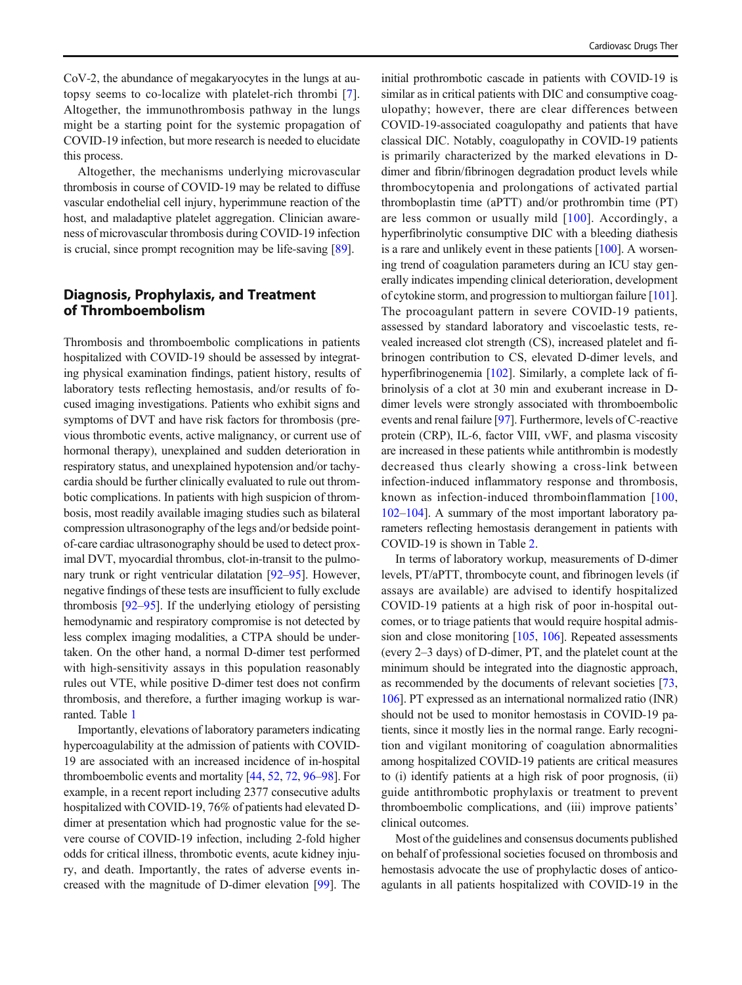CoV-2, the abundance of megakaryocytes in the lungs at autopsy seems to co-localize with platelet-rich thrombi [\[7](#page-10-0)]. Altogether, the immunothrombosis pathway in the lungs might be a starting point for the systemic propagation of COVID-19 infection, but more research is needed to elucidate this process.

Altogether, the mechanisms underlying microvascular thrombosis in course of COVID-19 may be related to diffuse vascular endothelial cell injury, hyperimmune reaction of the host, and maladaptive platelet aggregation. Clinician awareness of microvascular thrombosis during COVID-19 infection is crucial, since prompt recognition may be life-saving [\[89\]](#page-13-0).

# Diagnosis, Prophylaxis, and Treatment of Thromboembolism

Thrombosis and thromboembolic complications in patients hospitalized with COVID-19 should be assessed by integrating physical examination findings, patient history, results of laboratory tests reflecting hemostasis, and/or results of focused imaging investigations. Patients who exhibit signs and symptoms of DVT and have risk factors for thrombosis (previous thrombotic events, active malignancy, or current use of hormonal therapy), unexplained and sudden deterioration in respiratory status, and unexplained hypotension and/or tachycardia should be further clinically evaluated to rule out thrombotic complications. In patients with high suspicion of thrombosis, most readily available imaging studies such as bilateral compression ultrasonography of the legs and/or bedside pointof-care cardiac ultrasonography should be used to detect proximal DVT, myocardial thrombus, clot-in-transit to the pulmonary trunk or right ventricular dilatation [\[92](#page-13-0)–[95\]](#page-13-0). However, negative findings of these tests are insufficient to fully exclude thrombosis [[92](#page-13-0)–[95](#page-13-0)]. If the underlying etiology of persisting hemodynamic and respiratory compromise is not detected by less complex imaging modalities, a CTPA should be undertaken. On the other hand, a normal D-dimer test performed with high-sensitivity assays in this population reasonably rules out VTE, while positive D-dimer test does not confirm thrombosis, and therefore, a further imaging workup is warranted. Table [1](#page-6-0)

Importantly, elevations of laboratory parameters indicating hypercoagulability at the admission of patients with COVID-19 are associated with an increased incidence of in-hospital thromboembolic events and mortality [[44](#page-11-0), [52,](#page-12-0) [72,](#page-12-0) [96](#page-13-0)–[98\]](#page-13-0). For example, in a recent report including 2377 consecutive adults hospitalized with COVID-19, 76% of patients had elevated Ddimer at presentation which had prognostic value for the severe course of COVID-19 infection, including 2-fold higher odds for critical illness, thrombotic events, acute kidney injury, and death. Importantly, the rates of adverse events increased with the magnitude of D-dimer elevation [[99\]](#page-13-0). The

initial prothrombotic cascade in patients with COVID-19 is similar as in critical patients with DIC and consumptive coagulopathy; however, there are clear differences between COVID-19-associated coagulopathy and patients that have classical DIC. Notably, coagulopathy in COVID-19 patients is primarily characterized by the marked elevations in Ddimer and fibrin/fibrinogen degradation product levels while thrombocytopenia and prolongations of activated partial thromboplastin time (aPTT) and/or prothrombin time (PT) are less common or usually mild [[100](#page-13-0)]. Accordingly, a hyperfibrinolytic consumptive DIC with a bleeding diathesis is a rare and unlikely event in these patients [[100](#page-13-0)]. A worsening trend of coagulation parameters during an ICU stay generally indicates impending clinical deterioration, development of cytokine storm, and progression to multiorgan failure [\[101\]](#page-13-0). The procoagulant pattern in severe COVID-19 patients, assessed by standard laboratory and viscoelastic tests, revealed increased clot strength (CS), increased platelet and fibrinogen contribution to CS, elevated D-dimer levels, and hyperfibrinogenemia [[102](#page-13-0)]. Similarly, a complete lack of fibrinolysis of a clot at 30 min and exuberant increase in Ddimer levels were strongly associated with thromboembolic events and renal failure [\[97\]](#page-13-0). Furthermore, levels of C-reactive protein (CRP), IL-6, factor VIII, vWF, and plasma viscosity are increased in these patients while antithrombin is modestly decreased thus clearly showing a cross-link between infection-induced inflammatory response and thrombosis, known as infection-induced thromboinflammation [\[100,](#page-13-0) [102](#page-13-0)–[104](#page-13-0)]. A summary of the most important laboratory parameters reflecting hemostasis derangement in patients with COVID-19 is shown in Table [2.](#page-7-0)

In terms of laboratory workup, measurements of D-dimer levels, PT/aPTT, thrombocyte count, and fibrinogen levels (if assays are available) are advised to identify hospitalized COVID-19 patients at a high risk of poor in-hospital outcomes, or to triage patients that would require hospital admission and close monitoring [[105,](#page-14-0) [106\]](#page-14-0). Repeated assessments (every 2–3 days) of D-dimer, PT, and the platelet count at the minimum should be integrated into the diagnostic approach, as recommended by the documents of relevant societies [\[73,](#page-12-0) [106\]](#page-14-0). PT expressed as an international normalized ratio (INR) should not be used to monitor hemostasis in COVID-19 patients, since it mostly lies in the normal range. Early recognition and vigilant monitoring of coagulation abnormalities among hospitalized COVID-19 patients are critical measures to (i) identify patients at a high risk of poor prognosis, (ii) guide antithrombotic prophylaxis or treatment to prevent thromboembolic complications, and (iii) improve patients' clinical outcomes.

Most of the guidelines and consensus documents published on behalf of professional societies focused on thrombosis and hemostasis advocate the use of prophylactic doses of anticoagulants in all patients hospitalized with COVID-19 in the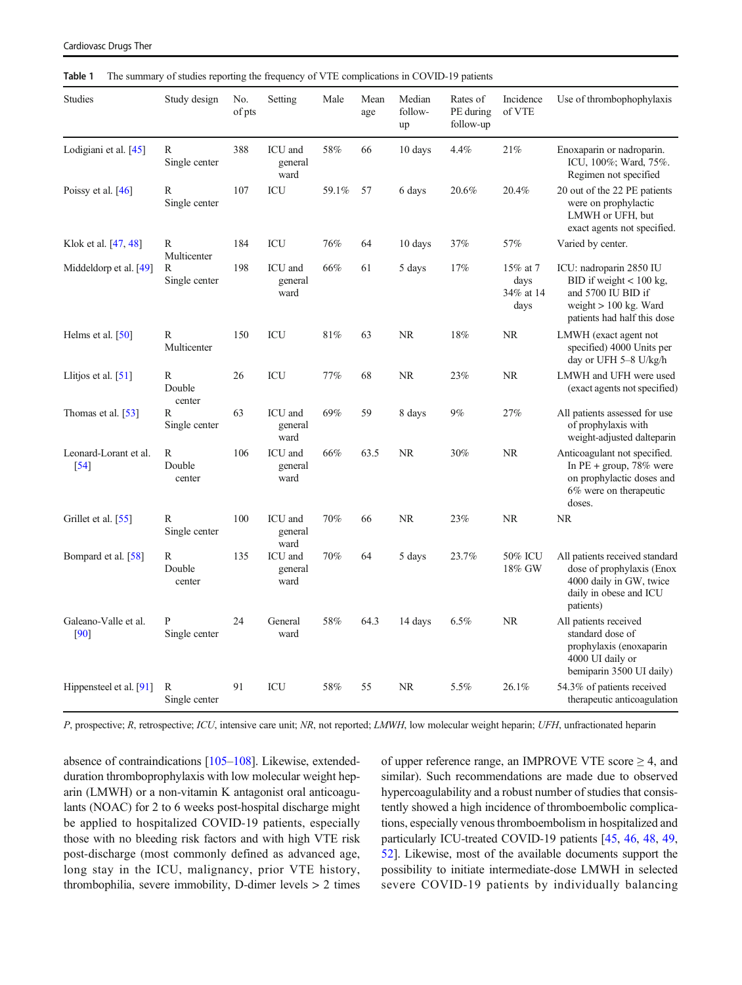| <b>Studies</b>                | Study design                     | No.<br>of pts | Setting                    | Male  | Mean<br>age | Median<br>follow-<br>up | Rates of<br>PE during<br>follow-up | Incidence<br>of VTE                   | Use of thrombophophylaxis                                                                                                            |
|-------------------------------|----------------------------------|---------------|----------------------------|-------|-------------|-------------------------|------------------------------------|---------------------------------------|--------------------------------------------------------------------------------------------------------------------------------------|
| Lodigiani et al. [45]         | R<br>Single center               | 388           | ICU and<br>general<br>ward | 58%   | 66          | 10 days                 | 4.4%                               | 21%                                   | Enoxaparin or nadroparin.<br>ICU, 100%; Ward, 75%.<br>Regimen not specified                                                          |
| Poissy et al. [46]            | R<br>Single center               | 107           | ICU                        | 59.1% | 57          | 6 days                  | 20.6%                              | 20.4%                                 | 20 out of the 22 PE patients<br>were on prophylactic<br>LMWH or UFH, but<br>exact agents not specified.                              |
| Klok et al. [47, 48]          | R<br>Multicenter                 | 184           | ICU                        | 76%   | 64          | 10 days                 | 37%                                | 57%                                   | Varied by center.                                                                                                                    |
| Middeldorp et al. [49]        | R<br>Single center               | 198           | ICU and<br>general<br>ward | 66%   | 61          | 5 days                  | 17%                                | 15% at 7<br>days<br>34% at 14<br>days | ICU: nadroparin 2850 IU<br>BID if weight $< 100$ kg,<br>and 5700 IU BID if<br>weight $> 100$ kg. Ward<br>patients had half this dose |
| Helms et al. [50]             | R<br>Multicenter                 | 150           | ICU                        | 81%   | 63          | <b>NR</b>               | 18%                                | <b>NR</b>                             | LMWH (exact agent not<br>specified) 4000 Units per<br>day or UFH 5-8 U/kg/h                                                          |
| Llitjos et al. $[51]$         | R<br>Double<br>center            | 26            | ICU                        | 77%   | 68          | <b>NR</b>               | 23%                                | <b>NR</b>                             | LMWH and UFH were used<br>(exact agents not specified)                                                                               |
| Thomas et al. [53]            | R<br>Single center               | 63            | ICU and<br>general<br>ward | 69%   | 59          | 8 days                  | 9%                                 | 27%                                   | All patients assessed for use<br>of prophylaxis with<br>weight-adjusted dalteparin                                                   |
| Leonard-Lorant et al.<br>[54] | R<br>Double<br>center            | 106           | ICU and<br>general<br>ward | 66%   | 63.5        | NR                      | 30%                                | <b>NR</b>                             | Anticoagulant not specified.<br>In PE + group, $78\%$ were<br>on prophylactic doses and<br>6% were on therapeutic<br>doses.          |
| Grillet et al. [55]           | R<br>Single center               | 100           | ICU and<br>general<br>ward | 70%   | 66          | NR                      | 23%                                | <b>NR</b>                             | <b>NR</b>                                                                                                                            |
| Bompard et al. [58]           | $\mathbb{R}$<br>Double<br>center | 135           | ICU and<br>general<br>ward | 70%   | 64          | 5 days                  | 23.7%                              | 50% ICU<br>18% GW                     | All patients received standard<br>dose of prophylaxis (Enox<br>4000 daily in GW, twice<br>daily in obese and ICU<br>patients)        |
| Galeano-Valle et al.<br>[90]  | P<br>Single center               | 24            | General<br>ward            | 58%   | 64.3        | 14 days                 | 6.5%                               | <b>NR</b>                             | All patients received<br>standard dose of<br>prophylaxis (enoxaparin<br>4000 UI daily or<br>bemiparin 3500 UI daily)                 |
| Hippensteel et al. [91]       | R<br>Single center               | 91            | ICU                        | 58%   | 55          | <b>NR</b>               | 5.5%                               | 26.1%                                 | 54.3% of patients received<br>therapeutic anticoagulation                                                                            |

<span id="page-6-0"></span>Table 1 The summary of studies reporting the frequency of VTE complications in COVID-19 patients

P, prospective; R, retrospective; ICU, intensive care unit; NR, not reported; LMWH, low molecular weight heparin; UFH, unfractionated heparin

absence of contraindications [[105](#page-14-0)–[108\]](#page-14-0). Likewise, extendedduration thromboprophylaxis with low molecular weight heparin (LMWH) or a non-vitamin K antagonist oral anticoagulants (NOAC) for 2 to 6 weeks post-hospital discharge might be applied to hospitalized COVID-19 patients, especially those with no bleeding risk factors and with high VTE risk post-discharge (most commonly defined as advanced age, long stay in the ICU, malignancy, prior VTE history, thrombophilia, severe immobility, D-dimer levels > 2 times of upper reference range, an IMPROVE VTE score  $\geq$  4, and similar). Such recommendations are made due to observed hypercoagulability and a robust number of studies that consistently showed a high incidence of thromboembolic complications, especially venous thromboembolism in hospitalized and particularly ICU-treated COVID-19 patients [[45,](#page-11-0) [46,](#page-12-0) [48](#page-12-0), [49,](#page-12-0) [52\]](#page-12-0). Likewise, most of the available documents support the possibility to initiate intermediate-dose LMWH in selected severe COVID-19 patients by individually balancing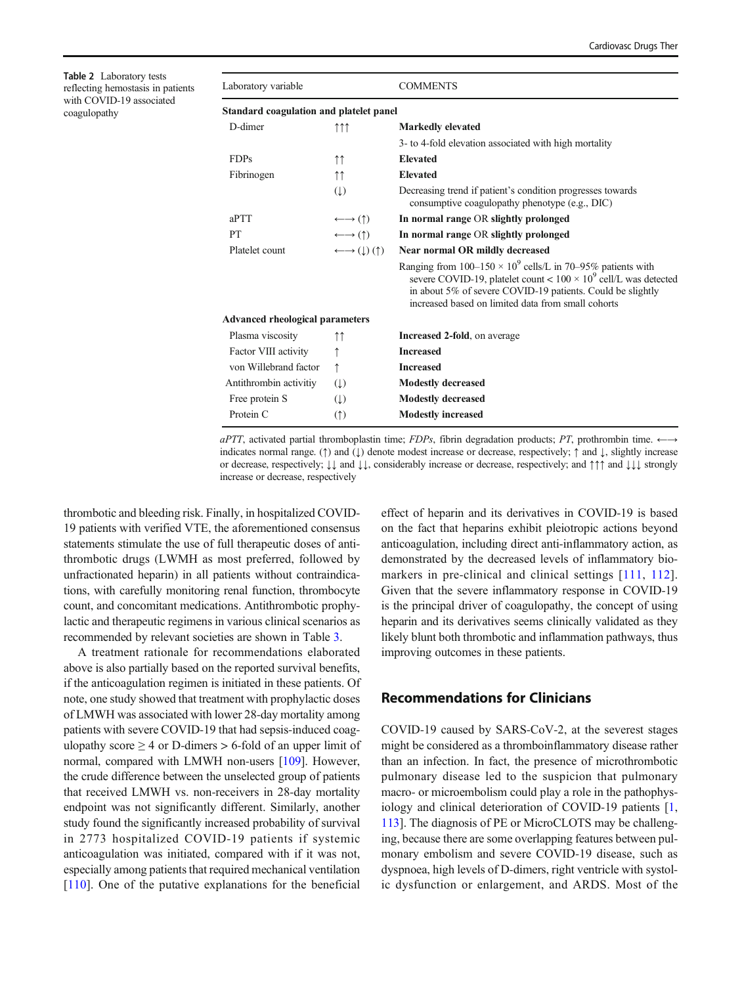<span id="page-7-0"></span>Table 2 Laboratory tests reflecting hemostasis in patients with COVID-19 associated coagulopathy

| Standard coagulation and platelet panel |                                      |                                                                                                                                                                                                                                                                   |  |  |
|-----------------------------------------|--------------------------------------|-------------------------------------------------------------------------------------------------------------------------------------------------------------------------------------------------------------------------------------------------------------------|--|--|
| D-dimer                                 | $\uparrow \uparrow \uparrow$         | <b>Markedly elevated</b>                                                                                                                                                                                                                                          |  |  |
|                                         |                                      | 3- to 4-fold elevation associated with high mortality                                                                                                                                                                                                             |  |  |
| <b>FDPs</b>                             | $\uparrow \uparrow$                  | <b>Elevated</b>                                                                                                                                                                                                                                                   |  |  |
| Fibrinogen                              | $\uparrow \uparrow$                  | <b>Elevated</b>                                                                                                                                                                                                                                                   |  |  |
|                                         | (1)                                  | Decreasing trend if patient's condition progresses towards<br>consumptive coagulopathy phenotype (e.g., DIC)                                                                                                                                                      |  |  |
| aPTT                                    | $\longleftrightarrow$ (†)            | In normal range OR slightly prolonged                                                                                                                                                                                                                             |  |  |
| PT                                      | $\longleftrightarrow$ ( $\uparrow$ ) | In normal range OR slightly prolonged                                                                                                                                                                                                                             |  |  |
| Platelet count                          | $\longleftrightarrow$ (1) (1)        | Near normal OR mildly decreased                                                                                                                                                                                                                                   |  |  |
|                                         |                                      | Ranging from $100-150 \times 10^9$ cells/L in 70–95% patients with<br>severe COVID-19, platelet count < $100 \times 10^9$ cell/L was detected<br>in about 5% of severe COVID-19 patients. Could be slightly<br>increased based on limited data from small cohorts |  |  |
| <b>Advanced rheological parameters</b>  |                                      |                                                                                                                                                                                                                                                                   |  |  |
| Plasma viscosity                        | ↑↑                                   | Increased 2-fold, on average                                                                                                                                                                                                                                      |  |  |
| Factor VIII activity                    | ↑                                    | <b>Increased</b>                                                                                                                                                                                                                                                  |  |  |
| von Willebrand factor                   | ↑                                    | <b>Increased</b>                                                                                                                                                                                                                                                  |  |  |
| Antithrombin activitiv                  | (1)                                  | <b>Modestly decreased</b>                                                                                                                                                                                                                                         |  |  |
| Free protein S                          | (1)                                  | <b>Modestly decreased</b>                                                                                                                                                                                                                                         |  |  |
| Protein C                               | (1)                                  | <b>Modestly increased</b>                                                                                                                                                                                                                                         |  |  |

aPTT, activated partial thromboplastin time; FDPs, fibrin degradation products; PT, prothrombin time.  $\leftarrow \rightarrow$ indicates normal range. (↑) and (↓) denote modest increase or decrease, respectively; ↑ and ↓, slightly increase or decrease, respectively; ↓↓ and ↓↓, considerably increase or decrease, respectively; and ↑↑↑ and ↓↓↓ strongly increase or decrease, respectively

thrombotic and bleeding risk. Finally, in hospitalized COVID-19 patients with verified VTE, the aforementioned consensus statements stimulate the use of full therapeutic doses of antithrombotic drugs (LWMH as most preferred, followed by unfractionated heparin) in all patients without contraindications, with carefully monitoring renal function, thrombocyte count, and concomitant medications. Antithrombotic prophylactic and therapeutic regimens in various clinical scenarios as recommended by relevant societies are shown in Table [3.](#page-8-0)

A treatment rationale for recommendations elaborated above is also partially based on the reported survival benefits, if the anticoagulation regimen is initiated in these patients. Of note, one study showed that treatment with prophylactic doses of LMWH was associated with lower 28-day mortality among patients with severe COVID-19 that had sepsis-induced coagulopathy score  $\geq 4$  or D-dimers  $> 6$ -fold of an upper limit of normal, compared with LMWH non-users [\[109\]](#page-14-0). However, the crude difference between the unselected group of patients that received LMWH vs. non-receivers in 28-day mortality endpoint was not significantly different. Similarly, another study found the significantly increased probability of survival in 2773 hospitalized COVID-19 patients if systemic anticoagulation was initiated, compared with if it was not, especially among patients that required mechanical ventilation [\[110](#page-14-0)]. One of the putative explanations for the beneficial

effect of heparin and its derivatives in COVID-19 is based on the fact that heparins exhibit pleiotropic actions beyond anticoagulation, including direct anti-inflammatory action, as demonstrated by the decreased levels of inflammatory bio-markers in pre-clinical and clinical settings [[111,](#page-14-0) [112](#page-14-0)]. Given that the severe inflammatory response in COVID-19 is the principal driver of coagulopathy, the concept of using heparin and its derivatives seems clinically validated as they likely blunt both thrombotic and inflammation pathways, thus improving outcomes in these patients.

### Recommendations for Clinicians

COVID-19 caused by SARS-CoV-2, at the severest stages might be considered as a thromboinflammatory disease rather than an infection. In fact, the presence of microthrombotic pulmonary disease led to the suspicion that pulmonary macro- or microembolism could play a role in the pathophysiology and clinical deterioration of COVID-19 patients [[1,](#page-10-0) [113\]](#page-14-0). The diagnosis of PE or MicroCLOTS may be challenging, because there are some overlapping features between pulmonary embolism and severe COVID-19 disease, such as dyspnoea, high levels of D-dimers, right ventricle with systolic dysfunction or enlargement, and ARDS. Most of the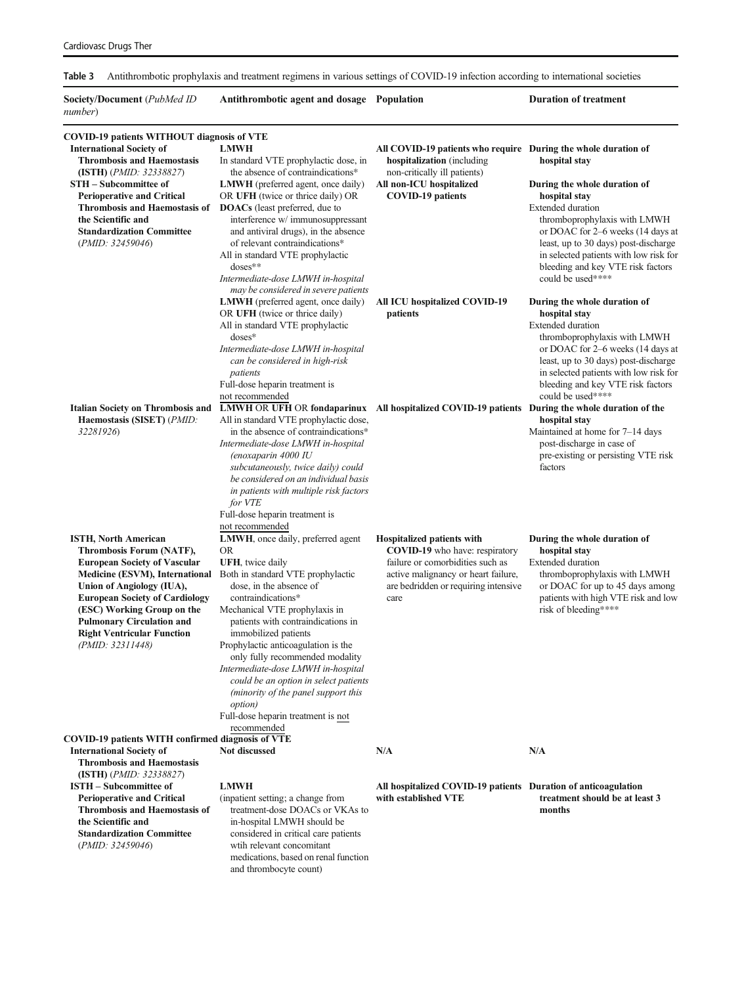# <span id="page-8-0"></span>Table 3 Antithrombotic prophylaxis and treatment regimens in various settings of COVID-19 infection according to international societies

| <b>Society/Document</b> (PubMed ID<br>number)                                                                                                                                                                                                                                                                                                                                                 | Antithrombotic agent and dosage Population                                                                                                                                                                                                                                                                                                                                                                                                                                                                                                                               |                                                                                                                                                                                                                                   | <b>Duration of treatment</b>                                                                                                                                                                                                                                                                                                                                                             |  |
|-----------------------------------------------------------------------------------------------------------------------------------------------------------------------------------------------------------------------------------------------------------------------------------------------------------------------------------------------------------------------------------------------|--------------------------------------------------------------------------------------------------------------------------------------------------------------------------------------------------------------------------------------------------------------------------------------------------------------------------------------------------------------------------------------------------------------------------------------------------------------------------------------------------------------------------------------------------------------------------|-----------------------------------------------------------------------------------------------------------------------------------------------------------------------------------------------------------------------------------|------------------------------------------------------------------------------------------------------------------------------------------------------------------------------------------------------------------------------------------------------------------------------------------------------------------------------------------------------------------------------------------|--|
| <b>COVID-19 patients WITHOUT diagnosis of VTE</b><br><b>International Society of</b><br><b>Thrombosis and Haemostasis</b><br>(ISTH) (PMD: 32338827)<br>STH – Subcommittee of<br><b>Perioperative and Critical</b><br>Thrombosis and Haemostasis of<br>the Scientific and<br><b>Standardization Committee</b><br>(PMID: 32459046)                                                              | <b>LMWH</b><br>In standard VTE prophylactic dose, in<br>the absence of contraindications*<br>LMWH (preferred agent, once daily)<br>OR UFH (twice or thrice daily) OR<br><b>DOACs</b> (least preferred, due to<br>interference w/ immunosuppressant<br>and antiviral drugs), in the absence<br>of relevant contraindications*<br>All in standard VTE prophylactic<br>$doeses**$<br>Intermediate-dose LMWH in-hospital<br>may be considered in severe patients<br>LMWH (preferred agent, once daily)<br>OR UFH (twice or thrice daily)<br>All in standard VTE prophylactic | All COVID-19 patients who require During the whole duration of<br>hospitalization (including<br>non-critically ill patients)<br>All non-ICU hospitalized<br><b>COVID-19</b> patients<br>All ICU hospitalized COVID-19<br>patients | hospital stay<br>During the whole duration of<br>hospital stay<br><b>Extended</b> duration<br>thromboprophylaxis with LMWH<br>or DOAC for 2–6 weeks (14 days at<br>least, up to 30 days) post-discharge<br>in selected patients with low risk for<br>bleeding and key VTE risk factors<br>could be used****<br>During the whole duration of<br>hospital stay<br><b>Extended</b> duration |  |
|                                                                                                                                                                                                                                                                                                                                                                                               | $doses*$<br>Intermediate-dose LMWH in-hospital<br>can be considered in high-risk<br>patients<br>Full-dose heparin treatment is<br>not recommended                                                                                                                                                                                                                                                                                                                                                                                                                        |                                                                                                                                                                                                                                   | thromboprophylaxis with LMWH<br>or DOAC for 2–6 weeks (14 days at<br>least, up to 30 days) post-discharge<br>in selected patients with low risk for<br>bleeding and key VTE risk factors<br>could be used****                                                                                                                                                                            |  |
| <b>Italian Society on Thrombosis and</b><br>Haemostasis (SISET) (PMID:<br>32281926)                                                                                                                                                                                                                                                                                                           | LMWH OR UFH OR fondaparinux All hospitalized COVID-19 patients During the whole duration of the<br>All in standard VTE prophylactic dose,<br>in the absence of contraindications*<br>Intermediate-dose LMWH in-hospital<br>(enoxaparin 4000 IU<br>subcutaneously, twice daily) could<br>be considered on an individual basis<br>in patients with multiple risk factors<br>for VTE<br>Full-dose heparin treatment is<br>not recommended                                                                                                                                   |                                                                                                                                                                                                                                   | hospital stay<br>Maintained at home for 7-14 days<br>post-discharge in case of<br>pre-existing or persisting VTE risk<br>factors                                                                                                                                                                                                                                                         |  |
| <b>ISTH, North American</b><br>Thrombosis Forum (NATF),<br><b>European Society of Vascular</b><br>Medicine (ESVM), International<br>Union of Angiology (IUA),<br><b>European Society of Cardiology</b><br>(ESC) Working Group on the<br><b>Pulmonary Circulation and</b><br><b>Right Ventricular Function</b><br>(PMID: 32311448)<br><b>COVID-19 patients WITH confirmed diagnosis of VTE</b> | LMWH, once daily, preferred agent<br>OR<br>UFH, twice daily<br>Both in standard VTE prophylactic<br>dose, in the absence of<br>contraindications*<br>Mechanical VTE prophylaxis in<br>patients with contraindications in<br>immobilized patients<br>Prophylactic anticoagulation is the<br>only fully recommended modality<br>Intermediate-dose LMWH in-hospital<br>could be an option in select patients<br>(minority of the panel support this<br><i>option</i> )<br>Full-dose heparin treatment is not<br>recommended                                                 | Hospitalized patients with<br><b>COVID-19</b> who have: respiratory<br>failure or comorbidities such as<br>active malignancy or heart failure,<br>are bedridden or requiring intensive.<br>care                                   | During the whole duration of<br>hospital stay<br><b>Extended</b> duration<br>thromboprophylaxis with LMWH<br>or DOAC for up to 45 days among<br>patients with high VTE risk and low<br>risk of bleeding****                                                                                                                                                                              |  |
| <b>International Society of</b><br><b>Thrombosis and Haemostasis</b><br>(ISTH) (PMD: 32338827)                                                                                                                                                                                                                                                                                                | <b>Not discussed</b>                                                                                                                                                                                                                                                                                                                                                                                                                                                                                                                                                     | N/A                                                                                                                                                                                                                               | N/A                                                                                                                                                                                                                                                                                                                                                                                      |  |
| <b>ISTH - Subcommittee of</b><br><b>Perioperative and Critical</b><br>Thrombosis and Haemostasis of<br>the Scientific and<br><b>Standardization Committee</b><br>(PMID: 32459046)                                                                                                                                                                                                             | <b>LMWH</b><br>(inpatient setting; a change from<br>treatment-dose DOACs or VKAs to<br>in-hospital LMWH should be<br>considered in critical care patients<br>wtih relevant concomitant<br>medications, based on renal function<br>and thrombocyte count)                                                                                                                                                                                                                                                                                                                 | All hospitalized COVID-19 patients Duration of anticoagulation<br>with established VTE                                                                                                                                            | treatment should be at least 3<br>months                                                                                                                                                                                                                                                                                                                                                 |  |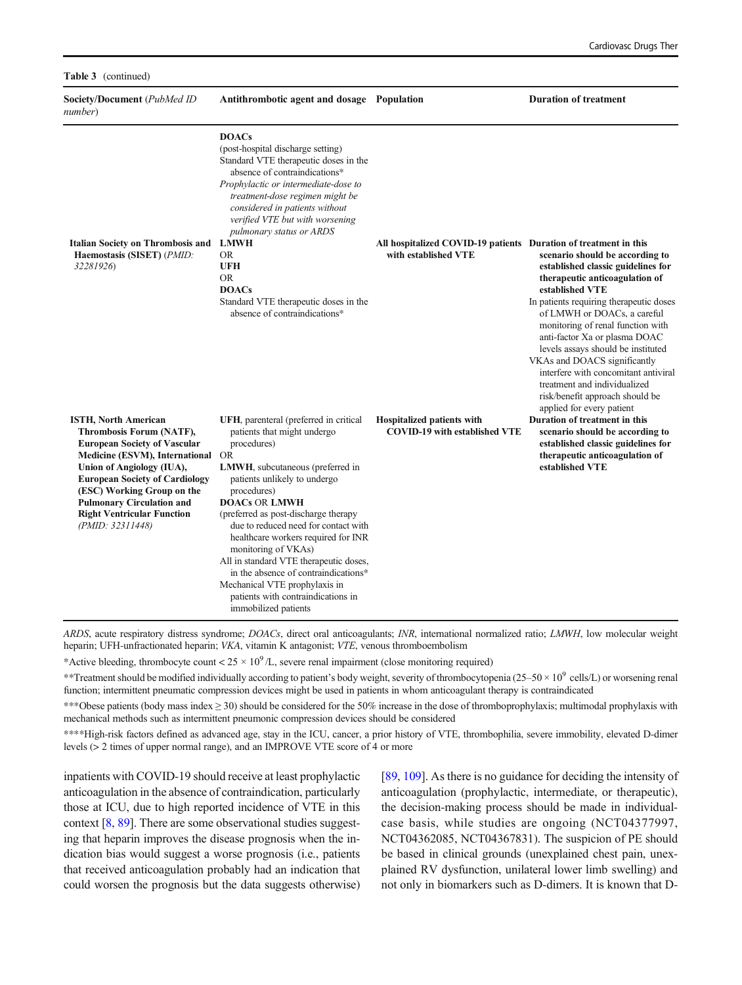#### Table 3 (continued)

| Society/Document (PubMed ID<br>number)                                                                                                                                                        | Antithrombotic agent and dosage Population                                                                                                                                                                                                                                                                                                                                                                                             |                                                                                          | <b>Duration of treatment</b>                                                                                                                                                                                                                                                                                                                               |
|-----------------------------------------------------------------------------------------------------------------------------------------------------------------------------------------------|----------------------------------------------------------------------------------------------------------------------------------------------------------------------------------------------------------------------------------------------------------------------------------------------------------------------------------------------------------------------------------------------------------------------------------------|------------------------------------------------------------------------------------------|------------------------------------------------------------------------------------------------------------------------------------------------------------------------------------------------------------------------------------------------------------------------------------------------------------------------------------------------------------|
|                                                                                                                                                                                               | <b>DOACs</b><br>(post-hospital discharge setting)<br>Standard VTE therapeutic doses in the<br>absence of contraindications*<br>Prophylactic or intermediate-dose to<br>treatment-dose regimen might be<br>considered in patients without<br>verified VTE but with worsening<br>pulmonary status or ARDS                                                                                                                                |                                                                                          |                                                                                                                                                                                                                                                                                                                                                            |
| <b>Italian Society on Thrombosis and</b><br>Haemostasis (SISET) (PMID:<br>32281926)                                                                                                           | <b>LMWH</b><br><b>OR</b><br><b>UFH</b><br><b>OR</b><br><b>DOACs</b>                                                                                                                                                                                                                                                                                                                                                                    | All hospitalized COVID-19 patients Duration of treatment in this<br>with established VTE | scenario should be according to<br>established classic guidelines for<br>therapeutic anticoagulation of<br>established VTE                                                                                                                                                                                                                                 |
|                                                                                                                                                                                               | Standard VTE therapeutic doses in the<br>absence of contraindications*                                                                                                                                                                                                                                                                                                                                                                 |                                                                                          | In patients requiring therapeutic doses<br>of LMWH or DOACs, a careful<br>monitoring of renal function with<br>anti-factor Xa or plasma DOAC<br>levels assays should be instituted<br>VKAs and DOACS significantly<br>interfere with concomitant antiviral<br>treatment and individualized<br>risk/benefit approach should be<br>applied for every patient |
| <b>ISTH, North American</b><br>Thrombosis Forum (NATF),<br><b>European Society of Vascular</b><br>Medicine (ESVM), International OR                                                           | UFH, parenteral (preferred in critical<br>patients that might undergo<br>procedures)                                                                                                                                                                                                                                                                                                                                                   | <b>Hospitalized patients with</b><br><b>COVID-19 with established VTE</b>                | Duration of treatment in this<br>scenario should be according to<br>established classic guidelines for<br>therapeutic anticoagulation of                                                                                                                                                                                                                   |
| Union of Angiology (IUA),<br><b>European Society of Cardiology</b><br>(ESC) Working Group on the<br><b>Pulmonary Circulation and</b><br><b>Right Ventricular Function</b><br>(PMID: 32311448) | LMWH, subcutaneous (preferred in<br>patients unlikely to undergo<br>procedures)<br><b>DOACs OR LMWH</b><br>(preferred as post-discharge therapy<br>due to reduced need for contact with<br>healthcare workers required for INR<br>monitoring of VKAs)<br>All in standard VTE therapeutic doses,<br>in the absence of contraindications*<br>Mechanical VTE prophylaxis in<br>patients with contraindications in<br>immobilized patients |                                                                                          | established VTE                                                                                                                                                                                                                                                                                                                                            |

ARDS, acute respiratory distress syndrome; DOACs, direct oral anticoagulants; INR, international normalized ratio; LMWH, low molecular weight heparin; UFH-unfractionated heparin; VKA, vitamin K antagonist; VTE, venous thromboembolism

\*Active bleeding, thrombocyte count  $< 25 \times 10^9$  /L, severe renal impairment (close monitoring required)

\*\*Treatment should be modified individually according to patient's body weight, severity of thrombocytopenia ( $25-50 \times 10^9$  cells/L) or worsening renal function; intermittent pneumatic compression devices might be used in patients in whom anticoagulant therapy is contraindicated

\*\*\*Obese patients (body mass index ≥ 30) should be considered for the 50% increase in the dose of thromboprophylaxis; multimodal prophylaxis with mechanical methods such as intermittent pneumonic compression devices should be considered

\*\*\*\*High-risk factors defined as advanced age, stay in the ICU, cancer, a prior history of VTE, thrombophilia, severe immobility, elevated D-dimer levels (> 2 times of upper normal range), and an IMPROVE VTE score of 4 or more

inpatients with COVID-19 should receive at least prophylactic anticoagulation in the absence of contraindication, particularly those at ICU, due to high reported incidence of VTE in this context [[8,](#page-10-0) [89](#page-13-0)]. There are some observational studies suggesting that heparin improves the disease prognosis when the indication bias would suggest a worse prognosis (i.e., patients that received anticoagulation probably had an indication that could worsen the prognosis but the data suggests otherwise) [\[89](#page-13-0), [109](#page-14-0)]. As there is no guidance for deciding the intensity of anticoagulation (prophylactic, intermediate, or therapeutic), the decision-making process should be made in individualcase basis, while studies are ongoing (NCT04377997, NCT04362085, NCT04367831). The suspicion of PE should be based in clinical grounds (unexplained chest pain, unexplained RV dysfunction, unilateral lower limb swelling) and not only in biomarkers such as D-dimers. It is known that D-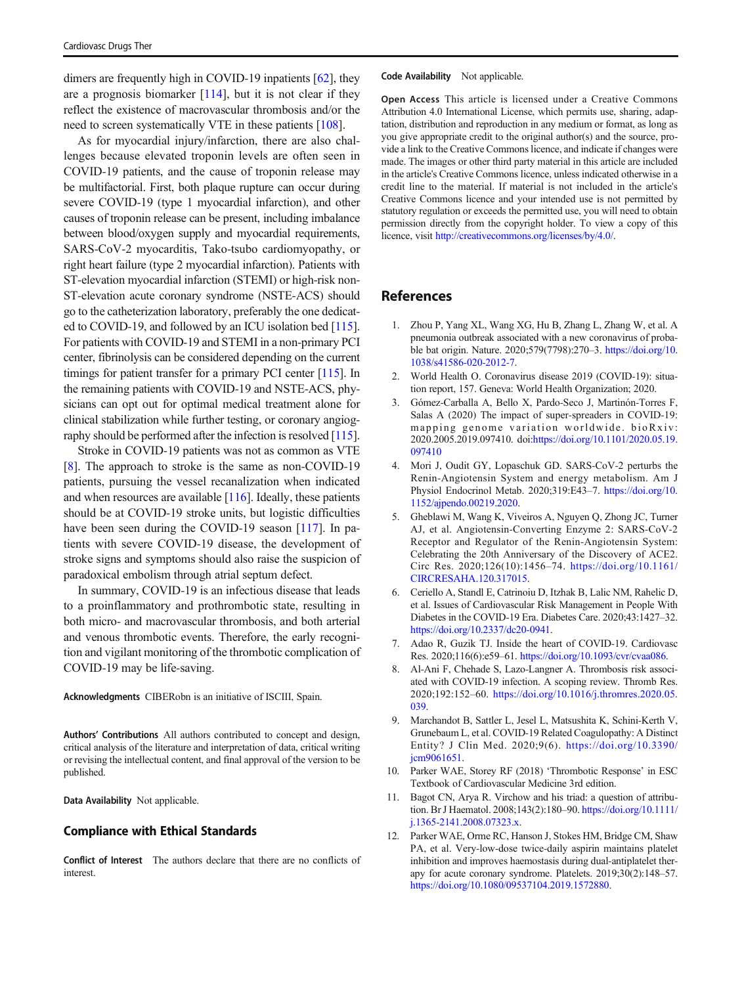<span id="page-10-0"></span>dimers are frequently high in COVID-19 inpatients [[62](#page-12-0)], they are a prognosis biomarker  $[114]$  $[114]$ , but it is not clear if they reflect the existence of macrovascular thrombosis and/or the need to screen systematically VTE in these patients [\[108\]](#page-14-0).

As for myocardial injury/infarction, there are also challenges because elevated troponin levels are often seen in COVID-19 patients, and the cause of troponin release may be multifactorial. First, both plaque rupture can occur during severe COVID-19 (type 1 myocardial infarction), and other causes of troponin release can be present, including imbalance between blood/oxygen supply and myocardial requirements, SARS-CoV-2 myocarditis, Tako-tsubo cardiomyopathy, or right heart failure (type 2 myocardial infarction). Patients with ST-elevation myocardial infarction (STEMI) or high-risk non-ST-elevation acute coronary syndrome (NSTE-ACS) should go to the catheterization laboratory, preferably the one dedicated to COVID-19, and followed by an ICU isolation bed [\[115\]](#page-14-0). For patients with COVID-19 and STEMI in a non-primary PCI center, fibrinolysis can be considered depending on the current timings for patient transfer for a primary PCI center [\[115\]](#page-14-0). In the remaining patients with COVID-19 and NSTE-ACS, physicians can opt out for optimal medical treatment alone for clinical stabilization while further testing, or coronary angiography should be performed after the infection is resolved [\[115\]](#page-14-0).

Stroke in COVID-19 patients was not as common as VTE [8]. The approach to stroke is the same as non-COVID-19 patients, pursuing the vessel recanalization when indicated and when resources are available [\[116](#page-14-0)]. Ideally, these patients should be at COVID-19 stroke units, but logistic difficulties have been seen during the COVID-19 season [\[117\]](#page-14-0). In patients with severe COVID-19 disease, the development of stroke signs and symptoms should also raise the suspicion of paradoxical embolism through atrial septum defect.

In summary, COVID-19 is an infectious disease that leads to a proinflammatory and prothrombotic state, resulting in both micro- and macrovascular thrombosis, and both arterial and venous thrombotic events. Therefore, the early recognition and vigilant monitoring of the thrombotic complication of COVID-19 may be life-saving.

Acknowledgments CIBERobn is an initiative of ISCIII, Spain.

Authors' Contributions All authors contributed to concept and design, critical analysis of the literature and interpretation of data, critical writing or revising the intellectual content, and final approval of the version to be published.

Data Availability Not applicable.

#### Compliance with Ethical Standards

Conflict of Interest The authors declare that there are no conflicts of interest.

Code Availability Not applicable.

Open Access This article is licensed under a Creative Commons Attribution 4.0 International License, which permits use, sharing, adaptation, distribution and reproduction in any medium or format, as long as you give appropriate credit to the original author(s) and the source, provide a link to the Creative Commons licence, and indicate if changes were made. The images or other third party material in this article are included in the article's Creative Commons licence, unless indicated otherwise in a credit line to the material. If material is not included in the article's Creative Commons licence and your intended use is not permitted by statutory regulation or exceeds the permitted use, you will need to obtain permission directly from the copyright holder. To view a copy of this licence, visit [http://creativecommons.org/licenses/by/4.0/](https://doi.org/).

### References

- 1. Zhou P, Yang XL, Wang XG, Hu B, Zhang L, Zhang W, et al. A pneumonia outbreak associated with a new coronavirus of probable bat origin. Nature. 2020;579(7798):270–3. [https://doi.org/10.](#page-4-0) [1038/s41586-020-2012-7](#page-4-0).
- 2. World Health O. Coronavirus disease 2019 (COVID-19): situation report, 157. Geneva: World Health Organization; 2020.
- 3. Gómez-Carballa A, Bello X, Pardo-Seco J, Martinón-Torres F, Salas A (2020) The impact of super-spreaders in COVID-19: mapping genome variation worldwide. bioRxiv: 2020.2005.2019.097410. doi[:https://doi.org/10.1101/2020.05.19.](https://doi.org/10.1101/2020.05.19.097410) [097410](https://doi.org/10.1101/2020.05.19.097410)
- 4. Mori J, Oudit GY, Lopaschuk GD. SARS-CoV-2 perturbs the Renin-Angiotensin System and energy metabolism. Am J Physiol Endocrinol Metab. 2020;319:E43–7. [https://doi.org/10.](https://doi.org/10.1152/ajpendo.00219.2020) [1152/ajpendo.00219.2020.](https://doi.org/10.1152/ajpendo.00219.2020)
- 5. Gheblawi M, Wang K, Viveiros A, Nguyen Q, Zhong JC, Turner AJ, et al. Angiotensin-Converting Enzyme 2: SARS-CoV-2 Receptor and Regulator of the Renin-Angiotensin System: Celebrating the 20th Anniversary of the Discovery of ACE2. Circ Res. 2020;126(10):1456–74. [https://doi.org/10.1161/](https://doi.org/10.1161/CIRCRESAHA.120.317015) [CIRCRESAHA.120.317015](https://doi.org/10.1161/CIRCRESAHA.120.317015).
- 6. Ceriello A, Standl E, Catrinoiu D, Itzhak B, Lalic NM, Rahelic D, et al. Issues of Cardiovascular Risk Management in People With Diabetes in the COVID-19 Era. Diabetes Care. 2020;43:1427–32. [https://doi.org/10.2337/dc20-0941.](https://doi.org/10.2337/dc20-0941)
- 7. Adao R, Guzik TJ. Inside the heart of COVID-19. Cardiovasc Res. 2020;116(6):e59–61. [https://doi.org/10.1093/cvr/cvaa086.](https://doi.org/10.1093/cvr/cvaa086)
- 8. Al-Ani F, Chehade S, Lazo-Langner A. Thrombosis risk associated with COVID-19 infection. A scoping review. Thromb Res. 2020;192:152–60. [https://doi.org/10.1016/j.thromres.2020.05.](https://doi.org/10.1016/j.thromres.2020.05.039) [039](https://doi.org/10.1016/j.thromres.2020.05.039).
- 9. Marchandot B, Sattler L, Jesel L, Matsushita K, Schini-Kerth V, Grunebaum L, et al. COVID-19 Related Coagulopathy: A Distinct Entity? J Clin Med. 2020;9(6). [https://doi.org/10.3390/](https://doi.org/10.3390/jcm9061651) [jcm9061651.](https://doi.org/10.3390/jcm9061651)
- 10. Parker WAE, Storey RF (2018) 'Thrombotic Response' in ESC Textbook of Cardiovascular Medicine 3rd edition.
- 11. Bagot CN, Arya R. Virchow and his triad: a question of attribution. Br J Haematol. 2008;143(2):180–90. [https://doi.org/10.1111/](https://doi.org/10.1111/j.1365-2141.2008.07323.x) [j.1365-2141.2008.07323.x.](https://doi.org/10.1111/j.1365-2141.2008.07323.x)
- 12. Parker WAE, Orme RC, Hanson J, Stokes HM, Bridge CM, Shaw PA, et al. Very-low-dose twice-daily aspirin maintains platelet inhibition and improves haemostasis during dual-antiplatelet therapy for acute coronary syndrome. Platelets. 2019;30(2):148–57. <https://doi.org/10.1080/09537104.2019.1572880>.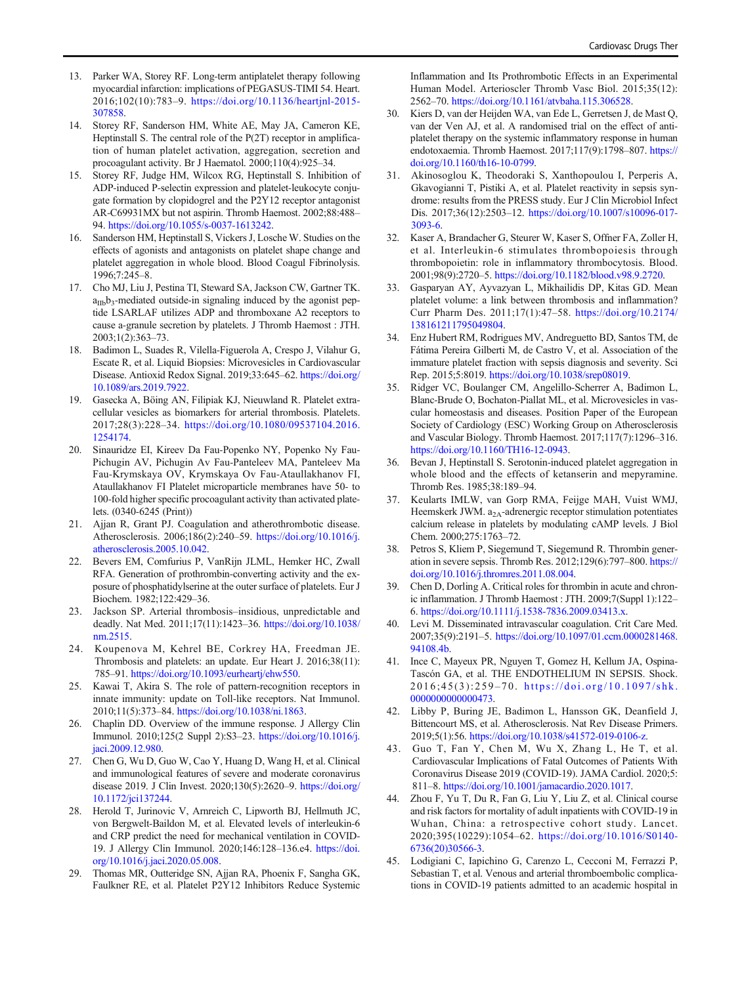- <span id="page-11-0"></span>13. Parker WA, Storey RF. Long-term antiplatelet therapy following myocardial infarction: implications of PEGASUS-TIMI 54. Heart. 2016;102(10):783–9. [https://doi.org/10.1136/heartjnl-2015-](https://doi.org/10.1136/heartjnl-2015-307858) [307858](https://doi.org/10.1136/heartjnl-2015-307858).
- 14. Storey RF, Sanderson HM, White AE, May JA, Cameron KE, Heptinstall S. The central role of the P(2T) receptor in amplification of human platelet activation, aggregation, secretion and procoagulant activity. Br J Haematol. 2000;110(4):925–34.
- 15. Storey RF, Judge HM, Wilcox RG, Heptinstall S. Inhibition of ADP-induced P-selectin expression and platelet-leukocyte conjugate formation by clopidogrel and the P2Y12 receptor antagonist AR-C69931MX but not aspirin. Thromb Haemost. 2002;88:488– 94. [https://doi.org/10.1055/s-0037-1613242.](https://doi.org/10.1055/s-0037-1613242)
- 16. Sanderson HM, Heptinstall S, Vickers J, Losche W. Studies on the effects of agonists and antagonists on platelet shape change and platelet aggregation in whole blood. Blood Coagul Fibrinolysis. 1996;7:245–8.
- 17. Cho MJ, Liu J, Pestina TI, Steward SA, Jackson CW, Gartner TK.  $a_{I1b}b_3$ -mediated outside-in signaling induced by the agonist peptide LSARLAF utilizes ADP and thromboxane A2 receptors to cause a-granule secretion by platelets. J Thromb Haemost : JTH. 2003;1(2):363–73.
- 18. Badimon L, Suades R, Vilella-Figuerola A, Crespo J, Vilahur G, Escate R, et al. Liquid Biopsies: Microvesicles in Cardiovascular Disease. Antioxid Redox Signal. 2019;33:645–62. [https://doi.org/](https://doi.org/10.1089/ars.2019.7922) [10.1089/ars.2019.7922.](https://doi.org/10.1089/ars.2019.7922)
- 19. Gasecka A, Böing AN, Filipiak KJ, Nieuwland R. Platelet extracellular vesicles as biomarkers for arterial thrombosis. Platelets. 2017;28(3):228–34. [https://doi.org/10.1080/09537104.2016.](https://doi.org/10.1080/09537104.2016.1254174) [1254174](https://doi.org/10.1080/09537104.2016.1254174).
- 20. Sinauridze EI, Kireev Da Fau-Popenko NY, Popenko Ny Fau-Pichugin AV, Pichugin Av Fau-Panteleev MA, Panteleev Ma Fau-Krymskaya OV, Krymskaya Ov Fau-Ataullakhanov FI, Ataullakhanov FI Platelet microparticle membranes have 50- to 100-fold higher specific procoagulant activity than activated platelets. (0340-6245 (Print))
- 21. Ajjan R, Grant PJ. Coagulation and atherothrombotic disease. Atherosclerosis. 2006;186(2):240–59. [https://doi.org/10.1016/j.](https://doi.org/10.1016/j.atherosclerosis.2005.10.042) [atherosclerosis.2005.10.042](https://doi.org/10.1016/j.atherosclerosis.2005.10.042).
- 22. Bevers EM, Comfurius P, VanRijn JLML, Hemker HC, Zwall RFA. Generation of prothrombin-converting activity and the exposure of phosphatidylserine at the outer surface of platelets. Eur J Biochem. 1982;122:429–36.
- 23. Jackson SP. Arterial thrombosis–insidious, unpredictable and deadly. Nat Med. 2011;17(11):1423–36. [https://doi.org/10.1038/](https://doi.org/10.1038/nm.2515) [nm.2515.](https://doi.org/10.1038/nm.2515)
- 24. Koupenova M, Kehrel BE, Corkrey HA, Freedman JE. Thrombosis and platelets: an update. Eur Heart J. 2016;38(11): 785–91. <https://doi.org/10.1093/eurheartj/ehw550>.
- 25. Kawai T, Akira S. The role of pattern-recognition receptors in innate immunity: update on Toll-like receptors. Nat Immunol. 2010;11(5):373–84. <https://doi.org/10.1038/ni.1863>.
- 26. Chaplin DD. Overview of the immune response. J Allergy Clin Immunol. 2010;125(2 Suppl 2):S3–23. [https://doi.org/10.1016/j.](https://doi.org/10.1016/j.jaci.2009.12.980) [jaci.2009.12.980](https://doi.org/10.1016/j.jaci.2009.12.980).
- 27. Chen G, Wu D, Guo W, Cao Y, Huang D, Wang H, et al. Clinical and immunological features of severe and moderate coronavirus disease 2019. J Clin Invest. 2020;130(5):2620–9. [https://doi.org/](https://doi.org/10.1172/jci137244) [10.1172/jci137244](https://doi.org/10.1172/jci137244).
- 28. Herold T, Jurinovic V, Arnreich C, Lipworth BJ, Hellmuth JC, von Bergwelt-Baildon M, et al. Elevated levels of interleukin-6 and CRP predict the need for mechanical ventilation in COVID-19. J Allergy Clin Immunol. 2020;146:128–136.e4. [https://doi.](https://doi.org/10.1016/j.jaci.2020.05.008) [org/10.1016/j.jaci.2020.05.008.](https://doi.org/10.1016/j.jaci.2020.05.008)
- 29. Thomas MR, Outteridge SN, Ajjan RA, Phoenix F, Sangha GK, Faulkner RE, et al. Platelet P2Y12 Inhibitors Reduce Systemic

Inflammation and Its Prothrombotic Effects in an Experimental Human Model. Arterioscler Thromb Vasc Biol. 2015;35(12): 2562–70. <https://doi.org/10.1161/atvbaha.115.306528>.

- 30. Kiers D, van der Heijden WA, van Ede L, Gerretsen J, de Mast Q, van der Ven AJ, et al. A randomised trial on the effect of antiplatelet therapy on the systemic inflammatory response in human endotoxaemia. Thromb Haemost. 2017;117(9):1798–807. [https://](https://doi.org/10.1160/th16-10-0799) [doi.org/10.1160/th16-10-0799.](https://doi.org/10.1160/th16-10-0799)
- 31. Akinosoglou K, Theodoraki S, Xanthopoulou I, Perperis A, Gkavogianni T, Pistiki A, et al. Platelet reactivity in sepsis syndrome: results from the PRESS study. Eur J Clin Microbiol Infect Dis. 2017;36(12):2503–12. [https://doi.org/10.1007/s10096-017-](https://doi.org/10.1007/s10096-017-3093-6) [3093-6](https://doi.org/10.1007/s10096-017-3093-6).
- 32. Kaser A, Brandacher G, Steurer W, Kaser S, Offner FA, Zoller H, et al. Interleukin-6 stimulates thrombopoiesis through thrombopoietin: role in inflammatory thrombocytosis. Blood. 2001;98(9):2720–5. <https://doi.org/10.1182/blood.v98.9.2720>.
- 33. Gasparyan AY, Ayvazyan L, Mikhailidis DP, Kitas GD. Mean platelet volume: a link between thrombosis and inflammation? Curr Pharm Des. 2011;17(1):47–58. [https://doi.org/10.2174/](https://doi.org/10.2174/138161211795049804) [138161211795049804.](https://doi.org/10.2174/138161211795049804)
- 34. Enz Hubert RM, Rodrigues MV, Andreguetto BD, Santos TM, de Fátima Pereira Gilberti M, de Castro V, et al. Association of the immature platelet fraction with sepsis diagnosis and severity. Sci Rep. 2015;5:8019. <https://doi.org/10.1038/srep08019>.
- 35. Ridger VC, Boulanger CM, Angelillo-Scherrer A, Badimon L, Blanc-Brude O, Bochaton-Piallat ML, et al. Microvesicles in vascular homeostasis and diseases. Position Paper of the European Society of Cardiology (ESC) Working Group on Atherosclerosis and Vascular Biology. Thromb Haemost. 2017;117(7):1296–316. [https://doi.org/10.1160/TH16-12-0943.](https://doi.org/10.1160/TH16-12-0943)
- 36. Bevan J, Heptinstall S. Serotonin-induced platelet aggregation in whole blood and the effects of ketanserin and mepyramine. Thromb Res. 1985;38:189–94.
- 37. Keularts IMLW, van Gorp RMA, Feijge MAH, Vuist WMJ, Heemskerk JWM.  $a_{2A}$ -adrenergic receptor stimulation potentiates calcium release in platelets by modulating cAMP levels. J Biol Chem. 2000;275:1763–72.
- 38. Petros S, Kliem P, Siegemund T, Siegemund R. Thrombin generation in severe sepsis. Thromb Res. 2012;129(6):797–800. [https://](https://doi.org/10.1016/j.thromres.2011.08.004) [doi.org/10.1016/j.thromres.2011.08.004.](https://doi.org/10.1016/j.thromres.2011.08.004)
- 39. Chen D, Dorling A. Critical roles for thrombin in acute and chronic inflammation. J Thromb Haemost : JTH. 2009;7(Suppl 1):122– 6. <https://doi.org/10.1111/j.1538-7836.2009.03413.x>.
- 40. Levi M. Disseminated intravascular coagulation. Crit Care Med. 2007;35(9):2191–5. [https://doi.org/10.1097/01.ccm.0000281468.](https://doi.org/10.1097/01.ccm.0000281468.94108.4b) [94108.4b](https://doi.org/10.1097/01.ccm.0000281468.94108.4b).
- 41. Ince C, Mayeux PR, Nguyen T, Gomez H, Kellum JA, Ospina-Tascón GA, et al. THE ENDOTHELIUM IN SEPSIS. Shock. 2016;45(3):259 – 70. [https://doi.org/10.1097/shk.](https://doi.org/10.1097/shk.0000000000000473) [0000000000000473.](https://doi.org/10.1097/shk.0000000000000473)
- 42. Libby P, Buring JE, Badimon L, Hansson GK, Deanfield J, Bittencourt MS, et al. Atherosclerosis. Nat Rev Disease Primers. 2019;5(1):56. <https://doi.org/10.1038/s41572-019-0106-z>.
- 43. Guo T, Fan Y, Chen M, Wu X, Zhang L, He T, et al. Cardiovascular Implications of Fatal Outcomes of Patients With Coronavirus Disease 2019 (COVID-19). JAMA Cardiol. 2020;5: 811–8. <https://doi.org/10.1001/jamacardio.2020.1017>.
- 44. Zhou F, Yu T, Du R, Fan G, Liu Y, Liu Z, et al. Clinical course and risk factors for mortality of adult inpatients with COVID-19 in Wuhan, China: a retrospective cohort study. Lancet. 2020;395(10229):1054–62. [https://doi.org/10.1016/S0140-](https://doi.org/10.1016/S0140-6736(20)30566-3) [6736\(20\)30566-3.](https://doi.org/10.1016/S0140-6736(20)30566-3)
- 45. Lodigiani C, Iapichino G, Carenzo L, Cecconi M, Ferrazzi P, Sebastian T, et al. Venous and arterial thromboembolic complications in COVID-19 patients admitted to an academic hospital in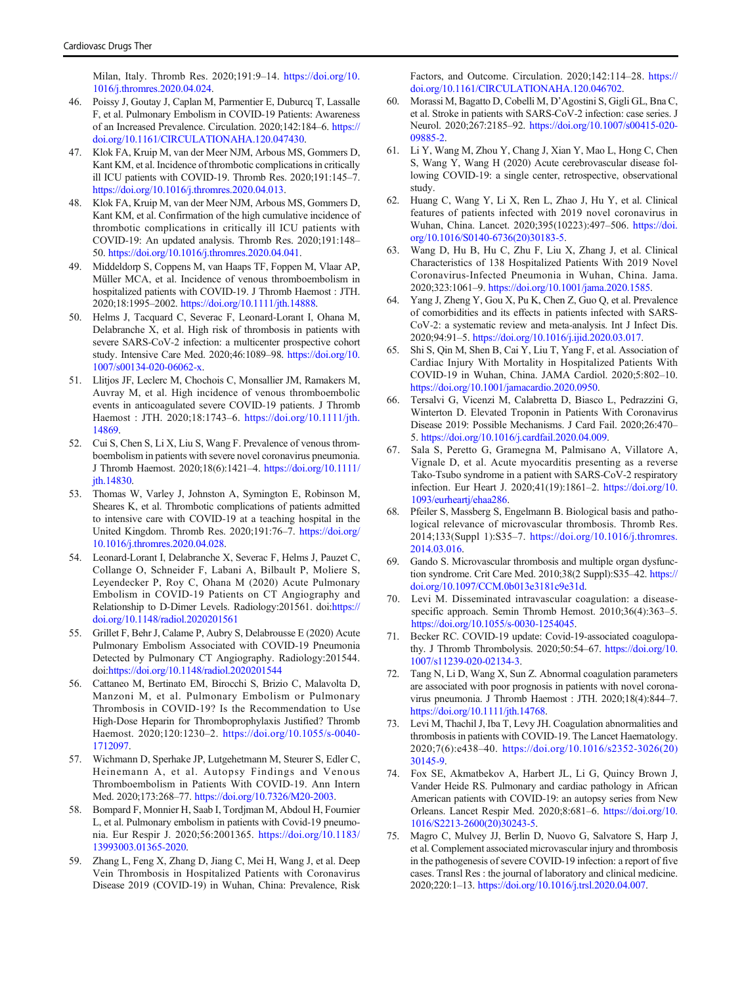<span id="page-12-0"></span>Milan, Italy. Thromb Res. 2020;191:9–14. [https://doi.org/10.](https://doi.org/10.1016/j.thromres.2020.04.024) [1016/j.thromres.2020.04.024.](https://doi.org/10.1016/j.thromres.2020.04.024)

- 46. Poissy J, Goutay J, Caplan M, Parmentier E, Duburcq T, Lassalle F, et al. Pulmonary Embolism in COVID-19 Patients: Awareness of an Increased Prevalence. Circulation. 2020;142:184–6. [https://](https://doi.org/10.1161/CIRCULATIONAHA.120.047430) [doi.org/10.1161/CIRCULATIONAHA.120.047430](https://doi.org/10.1161/CIRCULATIONAHA.120.047430).
- 47. Klok FA, Kruip M, van der Meer NJM, Arbous MS, Gommers D, Kant KM, et al. Incidence of thrombotic complications in critically ill ICU patients with COVID-19. Thromb Res. 2020;191:145–7. [https://doi.org/10.1016/j.thromres.2020.04.013.](https://doi.org/10.1016/j.thromres.2020.04.013)
- 48. Klok FA, Kruip M, van der Meer NJM, Arbous MS, Gommers D, Kant KM, et al. Confirmation of the high cumulative incidence of thrombotic complications in critically ill ICU patients with COVID-19: An updated analysis. Thromb Res. 2020;191:148– 50. <https://doi.org/10.1016/j.thromres.2020.04.041>.
- 49. Middeldorp S, Coppens M, van Haaps TF, Foppen M, Vlaar AP, Müller MCA, et al. Incidence of venous thromboembolism in hospitalized patients with COVID-19. J Thromb Haemost : JTH. 2020;18:1995–2002. <https://doi.org/10.1111/jth.14888>.
- 50. Helms J, Tacquard C, Severac F, Leonard-Lorant I, Ohana M, Delabranche X, et al. High risk of thrombosis in patients with severe SARS-CoV-2 infection: a multicenter prospective cohort study. Intensive Care Med. 2020;46:1089–98. [https://doi.org/10.](https://doi.org/10.1007/s00134-020-06062-x) [1007/s00134-020-06062-x](https://doi.org/10.1007/s00134-020-06062-x).
- 51. Llitjos JF, Leclerc M, Chochois C, Monsallier JM, Ramakers M, Auvray M, et al. High incidence of venous thromboembolic events in anticoagulated severe COVID-19 patients. J Thromb Haemost : JTH. 2020;18:1743–6. [https://doi.org/10.1111/jth.](https://doi.org/10.1111/jth.14869) [14869](https://doi.org/10.1111/jth.14869).
- 52. Cui S, Chen S, Li X, Liu S, Wang F. Prevalence of venous thromboembolism in patients with severe novel coronavirus pneumonia. J Thromb Haemost. 2020;18(6):1421–4. [https://doi.org/10.1111/](https://doi.org/10.1111/jth.14830) [jth.14830.](https://doi.org/10.1111/jth.14830)
- 53. Thomas W, Varley J, Johnston A, Symington E, Robinson M, Sheares K, et al. Thrombotic complications of patients admitted to intensive care with COVID-19 at a teaching hospital in the United Kingdom. Thromb Res. 2020;191:76–7. [https://doi.org/](https://doi.org/10.1016/j.thromres.2020.04.028) [10.1016/j.thromres.2020.04.028.](https://doi.org/10.1016/j.thromres.2020.04.028)
- 54. Leonard-Lorant I, Delabranche X, Severac F, Helms J, Pauzet C, Collange O, Schneider F, Labani A, Bilbault P, Moliere S, Leyendecker P, Roy C, Ohana M (2020) Acute Pulmonary Embolism in COVID-19 Patients on CT Angiography and Relationship to D-Dimer Levels. Radiology:201561. doi:[https://](https://doi.org/10.1148/radiol.2020201561) [doi.org/10.1148/radiol.2020201561](https://doi.org/10.1148/radiol.2020201561)
- 55. Grillet F, Behr J, Calame P, Aubry S, Delabrousse E (2020) Acute Pulmonary Embolism Associated with COVID-19 Pneumonia Detected by Pulmonary CT Angiography. Radiology:201544. doi[:https://doi.org/10.1148/radiol.2020201544](https://doi.org/10.1148/radiol.2020201544)
- 56. Cattaneo M, Bertinato EM, Birocchi S, Brizio C, Malavolta D, Manzoni M, et al. Pulmonary Embolism or Pulmonary Thrombosis in COVID-19? Is the Recommendation to Use High-Dose Heparin for Thromboprophylaxis Justified? Thromb Haemost. 2020;120:1230–2. [https://doi.org/10.1055/s-0040-](https://doi.org/10.1055/s-0040-1712097) [1712097](https://doi.org/10.1055/s-0040-1712097).
- 57. Wichmann D, Sperhake JP, Lutgehetmann M, Steurer S, Edler C, Heinemann A, et al. Autopsy Findings and Venous Thromboembolism in Patients With COVID-19. Ann Intern Med. 2020;173:268–77. <https://doi.org/10.7326/M20-2003>.
- 58. Bompard F, Monnier H, Saab I, Tordjman M, Abdoul H, Fournier L, et al. Pulmonary embolism in patients with Covid-19 pneumonia. Eur Respir J. 2020;56:2001365. [https://doi.org/10.1183/](https://doi.org/10.1183/13993003.01365-2020) [13993003.01365-2020](https://doi.org/10.1183/13993003.01365-2020).
- 59. Zhang L, Feng X, Zhang D, Jiang C, Mei H, Wang J, et al. Deep Vein Thrombosis in Hospitalized Patients with Coronavirus Disease 2019 (COVID-19) in Wuhan, China: Prevalence, Risk

Factors, and Outcome. Circulation. 2020;142:114–28. [https://](https://doi.org/10.1161/CIRCULATIONAHA.120.046702) [doi.org/10.1161/CIRCULATIONAHA.120.046702](https://doi.org/10.1161/CIRCULATIONAHA.120.046702).

- 60. Morassi M, Bagatto D, Cobelli M, D'Agostini S, Gigli GL, Bna C, et al. Stroke in patients with SARS-CoV-2 infection: case series. J Neurol. 2020;267:2185–92. [https://doi.org/10.1007/s00415-020-](https://doi.org/10.1007/s00415-020-09885-2) [09885-2.](https://doi.org/10.1007/s00415-020-09885-2)
- 61. Li Y, Wang M, Zhou Y, Chang J, Xian Y, Mao L, Hong C, Chen S, Wang Y, Wang H (2020) Acute cerebrovascular disease following COVID-19: a single center, retrospective, observational study.
- 62. Huang C, Wang Y, Li X, Ren L, Zhao J, Hu Y, et al. Clinical features of patients infected with 2019 novel coronavirus in Wuhan, China. Lancet. 2020;395(10223):497–506. [https://doi.](https://doi.org/10.1016/S0140-6736(20)30183-5) [org/10.1016/S0140-6736\(20\)30183-5.](https://doi.org/10.1016/S0140-6736(20)30183-5)
- 63. Wang D, Hu B, Hu C, Zhu F, Liu X, Zhang J, et al. Clinical Characteristics of 138 Hospitalized Patients With 2019 Novel Coronavirus-Infected Pneumonia in Wuhan, China. Jama. 2020;323:1061–9. <https://doi.org/10.1001/jama.2020.1585>.
- 64. Yang J, Zheng Y, Gou X, Pu K, Chen Z, Guo Q, et al. Prevalence of comorbidities and its effects in patients infected with SARS-CoV-2: a systematic review and meta-analysis. Int J Infect Dis. 2020;94:91–5. [https://doi.org/10.1016/j.ijid.2020.03.017.](https://doi.org/10.1016/j.ijid.2020.03.017)
- 65. Shi S, Qin M, Shen B, Cai Y, Liu T, Yang F, et al. Association of Cardiac Injury With Mortality in Hospitalized Patients With COVID-19 in Wuhan, China. JAMA Cardiol. 2020;5:802–10. [https://doi.org/10.1001/jamacardio.2020.0950.](https://doi.org/10.1001/jamacardio.2020.0950)
- 66. Tersalvi G, Vicenzi M, Calabretta D, Biasco L, Pedrazzini G, Winterton D. Elevated Troponin in Patients With Coronavirus Disease 2019: Possible Mechanisms. J Card Fail. 2020;26:470– 5. <https://doi.org/10.1016/j.cardfail.2020.04.009>.
- 67. Sala S, Peretto G, Gramegna M, Palmisano A, Villatore A, Vignale D, et al. Acute myocarditis presenting as a reverse Tako-Tsubo syndrome in a patient with SARS-CoV-2 respiratory infection. Eur Heart J. 2020;41(19):1861–2. [https://doi.org/10.](https://doi.org/10.1093/eurheartj/ehaa286) [1093/eurheartj/ehaa286](https://doi.org/10.1093/eurheartj/ehaa286).
- 68. Pfeiler S, Massberg S, Engelmann B. Biological basis and pathological relevance of microvascular thrombosis. Thromb Res. 2014;133(Suppl 1):S35–7. [https://doi.org/10.1016/j.thromres.](https://doi.org/10.1016/j.thromres.2014.03.016) [2014.03.016.](https://doi.org/10.1016/j.thromres.2014.03.016)
- 69. Gando S. Microvascular thrombosis and multiple organ dysfunction syndrome. Crit Care Med. 2010;38(2 Suppl):S35–42. [https://](https://doi.org/10.1097/CCM.0b013e3181c9e31d) [doi.org/10.1097/CCM.0b013e3181c9e31d](https://doi.org/10.1097/CCM.0b013e3181c9e31d).
- 70. Levi M. Disseminated intravascular coagulation: a diseasespecific approach. Semin Thromb Hemost. 2010;36(4):363–5. <https://doi.org/10.1055/s-0030-1254045>.
- 71. Becker RC. COVID-19 update: Covid-19-associated coagulopathy. J Thromb Thrombolysis. 2020;50:54-67. [https://doi.org/10.](https://doi.org/10.1007/s11239-020-02134-3) [1007/s11239-020-02134-3](https://doi.org/10.1007/s11239-020-02134-3).
- 72. Tang N, Li D, Wang X, Sun Z. Abnormal coagulation parameters are associated with poor prognosis in patients with novel coronavirus pneumonia. J Thromb Haemost : JTH. 2020;18(4):844–7. [https://doi.org/10.1111/jth.14768.](https://doi.org/10.1111/jth.14768)
- 73. Levi M, Thachil J, Iba T, Levy JH. Coagulation abnormalities and thrombosis in patients with COVID-19. The Lancet Haematology. 2020;7(6):e438–40. [https://doi.org/10.1016/s2352-3026\(20\)](https://doi.org/10.1016/s2352-3026(20)30145-9) [30145-9.](https://doi.org/10.1016/s2352-3026(20)30145-9)
- 74. Fox SE, Akmatbekov A, Harbert JL, Li G, Quincy Brown J, Vander Heide RS. Pulmonary and cardiac pathology in African American patients with COVID-19: an autopsy series from New Orleans. Lancet Respir Med. 2020;8:681–6. [https://doi.org/10.](https://doi.org/10.1016/S2213-2600(20)30243-5) [1016/S2213-2600\(20\)30243-5.](https://doi.org/10.1016/S2213-2600(20)30243-5)
- 75. Magro C, Mulvey JJ, Berlin D, Nuovo G, Salvatore S, Harp J, et al. Complement associated microvascular injury and thrombosis in the pathogenesis of severe COVID-19 infection: a report of five cases. Transl Res : the journal of laboratory and clinical medicine. 2020;220:1–13. <https://doi.org/10.1016/j.trsl.2020.04.007>.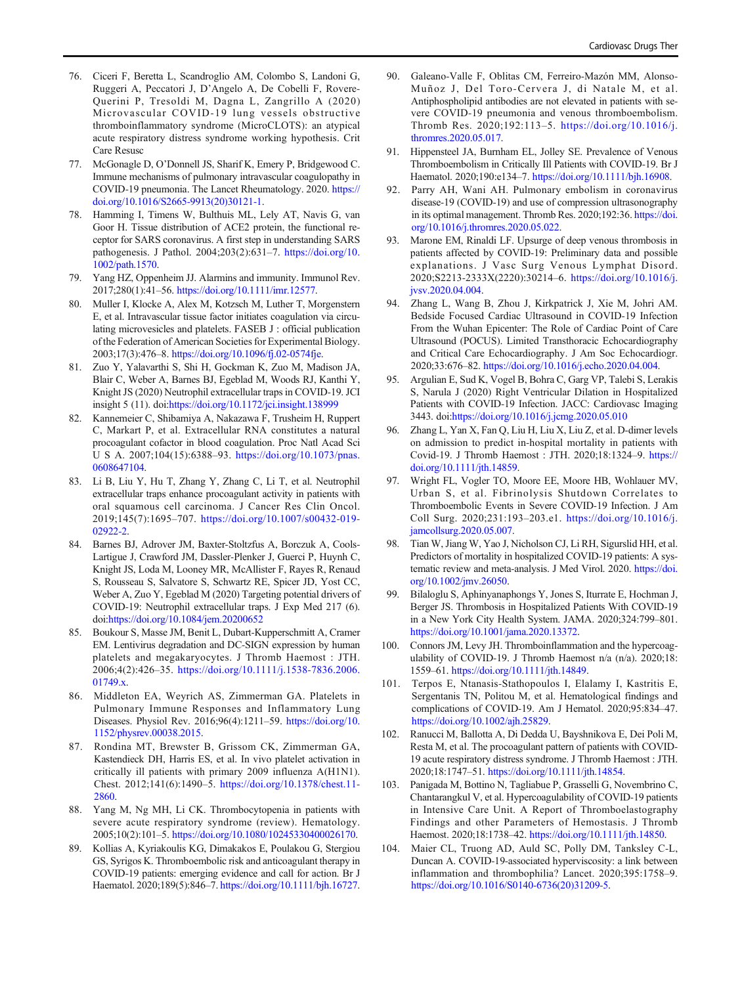- <span id="page-13-0"></span>76. Ciceri F, Beretta L, Scandroglio AM, Colombo S, Landoni G, Ruggeri A, Peccatori J, D'Angelo A, De Cobelli F, Rovere-Querini P, Tresoldi M, Dagna L, Zangrillo A (2020) Microvascular COVID-19 lung vessels obstructive thromboinflammatory syndrome (MicroCLOTS): an atypical acute respiratory distress syndrome working hypothesis. Crit Care Resusc
- 77. McGonagle D, O'Donnell JS, Sharif K, Emery P, Bridgewood C. Immune mechanisms of pulmonary intravascular coagulopathy in COVID-19 pneumonia. The Lancet Rheumatology. 2020. [https://](https://doi.org/10.1016/S2665-9913(20)30121-1) [doi.org/10.1016/S2665-9913\(20\)30121-1](https://doi.org/10.1016/S2665-9913(20)30121-1).
- 78. Hamming I, Timens W, Bulthuis ML, Lely AT, Navis G, van Goor H. Tissue distribution of ACE2 protein, the functional receptor for SARS coronavirus. A first step in understanding SARS pathogenesis. J Pathol. 2004;203(2):631–7. [https://doi.org/10.](https://doi.org/10.1002/path.1570) [1002/path.1570.](https://doi.org/10.1002/path.1570)
- 79. Yang HZ, Oppenheim JJ. Alarmins and immunity. Immunol Rev. 2017;280(1):41–56. <https://doi.org/10.1111/imr.12577>.
- 80. Muller I, Klocke A, Alex M, Kotzsch M, Luther T, Morgenstern E, et al. Intravascular tissue factor initiates coagulation via circulating microvesicles and platelets. FASEB J : official publication of the Federation of American Societies for Experimental Biology. 2003;17(3):476–8. [https://doi.org/10.1096/fj.02-0574fje.](https://doi.org/10.1096/fj.02-0574fje)
- 81. Zuo Y, Yalavarthi S, Shi H, Gockman K, Zuo M, Madison JA, Blair C, Weber A, Barnes BJ, Egeblad M, Woods RJ, Kanthi Y, Knight JS (2020) Neutrophil extracellular traps in COVID-19. JCI insight 5 (11). doi:<https://doi.org/10.1172/jci.insight.138999>
- 82. Kannemeier C, Shibamiya A, Nakazawa F, Trusheim H, Ruppert C, Markart P, et al. Extracellular RNA constitutes a natural procoagulant cofactor in blood coagulation. Proc Natl Acad Sci U S A. 2007;104(15):6388–93. [https://doi.org/10.1073/pnas.](https://doi.org/10.1073/pnas.0608647104) [0608647104.](https://doi.org/10.1073/pnas.0608647104)
- 83. Li B, Liu Y, Hu T, Zhang Y, Zhang C, Li T, et al. Neutrophil extracellular traps enhance procoagulant activity in patients with oral squamous cell carcinoma. J Cancer Res Clin Oncol. 2019;145(7):1695–707. [https://doi.org/10.1007/s00432-019-](https://doi.org/10.1007/s00432-019-02922-2) [02922-2.](https://doi.org/10.1007/s00432-019-02922-2)
- 84. Barnes BJ, Adrover JM, Baxter-Stoltzfus A, Borczuk A, Cools-Lartigue J, Crawford JM, Dassler-Plenker J, Guerci P, Huynh C, Knight JS, Loda M, Looney MR, McAllister F, Rayes R, Renaud S, Rousseau S, Salvatore S, Schwartz RE, Spicer JD, Yost CC, Weber A, Zuo Y, Egeblad M (2020) Targeting potential drivers of COVID-19: Neutrophil extracellular traps. J Exp Med 217 (6). doi[:https://doi.org/10.1084/jem.20200652](https://doi.org/10.1084/jem.20200652)
- 85. Boukour S, Masse JM, Benit L, Dubart-Kupperschmitt A, Cramer EM. Lentivirus degradation and DC-SIGN expression by human platelets and megakaryocytes. J Thromb Haemost : JTH. 2006;4(2):426–35. [https://doi.org/10.1111/j.1538-7836.2006.](https://doi.org/10.1111/j.1538-7836.2006.01749.x) [01749.x](https://doi.org/10.1111/j.1538-7836.2006.01749.x).
- 86. Middleton EA, Weyrich AS, Zimmerman GA. Platelets in Pulmonary Immune Responses and Inflammatory Lung Diseases. Physiol Rev. 2016;96(4):1211–59. [https://doi.org/10.](https://doi.org/10.1152/physrev.00038.2015) [1152/physrev.00038.2015](https://doi.org/10.1152/physrev.00038.2015).
- 87. Rondina MT, Brewster B, Grissom CK, Zimmerman GA, Kastendieck DH, Harris ES, et al. In vivo platelet activation in critically ill patients with primary 2009 influenza A(H1N1). Chest. 2012;141(6):1490–5. [https://doi.org/10.1378/chest.11-](https://doi.org/10.1378/chest.11-2860) [2860.](https://doi.org/10.1378/chest.11-2860)
- 88. Yang M, Ng MH, Li CK. Thrombocytopenia in patients with severe acute respiratory syndrome (review). Hematology. 2005;10(2):101–5. [https://doi.org/10.1080/10245330400026170.](https://doi.org/10.1080/10245330400026170)
- 89. Kollias A, Kyriakoulis KG, Dimakakos E, Poulakou G, Stergiou GS, Syrigos K. Thromboembolic risk and anticoagulant therapy in COVID-19 patients: emerging evidence and call for action. Br J Haematol. 2020;189(5):846–7. <https://doi.org/10.1111/bjh.16727>.
- 90. Galeano-Valle F, Oblitas CM, Ferreiro-Mazón MM, Alonso-Muñoz J, Del Toro-Cervera J, di Natale M, et al. Antiphospholipid antibodies are not elevated in patients with severe COVID-19 pneumonia and venous thromboembolism. Thromb Res. 2020;192:113–5. [https://doi.org/10.1016/j.](https://doi.org/10.1016/j.thromres.2020.05.017) [thromres.2020.05.017](https://doi.org/10.1016/j.thromres.2020.05.017).
- 91. Hippensteel JA, Burnham EL, Jolley SE. Prevalence of Venous Thromboembolism in Critically Ill Patients with COVID-19. Br J Haematol. 2020;190:e134–7. [https://doi.org/10.1111/bjh.16908.](https://doi.org/10.1111/bjh.16908)
- 92. Parry AH, Wani AH. Pulmonary embolism in coronavirus disease-19 (COVID-19) and use of compression ultrasonography in its optimal management. Thromb Res. 2020;192:36. [https://doi.](https://doi.org/10.1016/j.thromres.2020.05.022) [org/10.1016/j.thromres.2020.05.022.](https://doi.org/10.1016/j.thromres.2020.05.022)
- 93. Marone EM, Rinaldi LF. Upsurge of deep venous thrombosis in patients affected by COVID-19: Preliminary data and possible explanations. J Vasc Surg Venous Lymphat Disord. 2020;S2213-2333X(2220):30214–6. [https://doi.org/10.1016/j.](https://doi.org/10.1016/j.jvsv.2020.04.004) [jvsv.2020.04.004](https://doi.org/10.1016/j.jvsv.2020.04.004).
- 94. Zhang L, Wang B, Zhou J, Kirkpatrick J, Xie M, Johri AM. Bedside Focused Cardiac Ultrasound in COVID-19 Infection From the Wuhan Epicenter: The Role of Cardiac Point of Care Ultrasound (POCUS). Limited Transthoracic Echocardiography and Critical Care Echocardiography. J Am Soc Echocardiogr. 2020;33:676–82. <https://doi.org/10.1016/j.echo.2020.04.004>.
- 95. Argulian E, Sud K, Vogel B, Bohra C, Garg VP, Talebi S, Lerakis S, Narula J (2020) Right Ventricular Dilation in Hospitalized Patients with COVID-19 Infection. JACC: Cardiovasc Imaging 3443. doi[:https://doi.org/10.1016/j.jcmg.2020.05.010](https://doi.org/10.1016/j.jcmg.2020.05.010)
- 96. Zhang L, Yan X, Fan Q, Liu H, Liu X, Liu Z, et al. D-dimer levels on admission to predict in-hospital mortality in patients with Covid-19. J Thromb Haemost : JTH. 2020;18:1324–9. [https://](https://doi.org/10.1111/jth.14859) [doi.org/10.1111/jth.14859](https://doi.org/10.1111/jth.14859).
- 97. Wright FL, Vogler TO, Moore EE, Moore HB, Wohlauer MV, Urban S, et al. Fibrinolysis Shutdown Correlates to Thromboembolic Events in Severe COVID-19 Infection. J Am Coll Surg. 2020;231:193–203.e1. [https://doi.org/10.1016/j.](https://doi.org/10.1016/j.jamcollsurg.2020.05.007) [jamcollsurg.2020.05.007](https://doi.org/10.1016/j.jamcollsurg.2020.05.007).
- 98. Tian W, Jiang W, Yao J, Nicholson CJ, Li RH, Sigurslid HH, et al. Predictors of mortality in hospitalized COVID-19 patients: A systematic review and meta-analysis. J Med Virol. 2020. [https://doi.](https://doi.org/10.1002/jmv.26050) [org/10.1002/jmv.26050](https://doi.org/10.1002/jmv.26050).
- 99. Bilaloglu S, Aphinyanaphongs Y, Jones S, Iturrate E, Hochman J, Berger JS. Thrombosis in Hospitalized Patients With COVID-19 in a New York City Health System. JAMA. 2020;324:799–801. [https://doi.org/10.1001/jama.2020.13372.](https://doi.org/10.1001/jama.2020.13372)
- 100. Connors JM, Levy JH. Thromboinflammation and the hypercoagulability of COVID-19. J Thromb Haemost n/a (n/a). 2020;18: 1559–61. [https://doi.org/10.1111/jth.14849.](https://doi.org/10.1111/jth.14849)
- 101. Terpos E, Ntanasis-Stathopoulos I, Elalamy I, Kastritis E, Sergentanis TN, Politou M, et al. Hematological findings and complications of COVID-19. Am J Hematol. 2020;95:834–47. <https://doi.org/10.1002/ajh.25829>.
- 102. Ranucci M, Ballotta A, Di Dedda U, Bayshnikova E, Dei Poli M, Resta M, et al. The procoagulant pattern of patients with COVID-19 acute respiratory distress syndrome. J Thromb Haemost : JTH. 2020;18:1747–51. <https://doi.org/10.1111/jth.14854>.
- 103. Panigada M, Bottino N, Tagliabue P, Grasselli G, Novembrino C, Chantarangkul V, et al. Hypercoagulability of COVID-19 patients in Intensive Care Unit. A Report of Thromboelastography Findings and other Parameters of Hemostasis. J Thromb Haemost. 2020;18:1738–42. <https://doi.org/10.1111/jth.14850>.
- 104. Maier CL, Truong AD, Auld SC, Polly DM, Tanksley C-L, Duncan A. COVID-19-associated hyperviscosity: a link between inflammation and thrombophilia? Lancet. 2020;395:1758–9. [https://doi.org/10.1016/S0140-6736\(20\)31209-5](https://doi.org/10.1016/S0140-6736(20)31209-5).